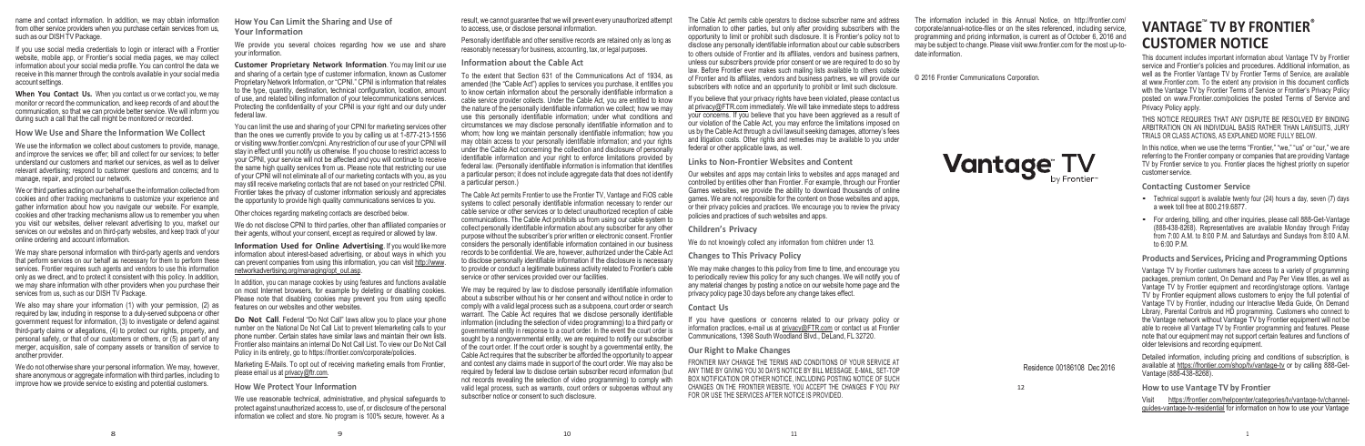name and contact information. In addition, we may obtain information from other service providers when you purchase certain services from us, such as our DISH TV Package.

If you use social media credentials to login or interact with a Frontier website, mobile app, or Frontier's social media pages, we may collect information about your social media profile. You can control the data we receive in this manner through the controls available in your social media account settings.

**When You Contact Us.** When you contact us or we contact you, we may monitor or record the communication, and keep records of and about the communication, so that we can provide better service. We will inform you during such a call that the call might be monitored or recorded.

We use the information we collect about customers to provide, manage, and improve the services we offer; bill and collect for our services; to better understand our customers and market our services, as well as to deliver relevant advertising; respond to customer questions and concerns; and to manage, repair, and protect our network.

**How We Use and Share the Information We Collect**

We may share personal information with third-party agents and vendors that perform services on our behalf as necessary for them to perform these services. Frontier requires such agents and vendors to use this information only as we direct, and to protect it consistent with this policy. In addition, we may share information with other providers when you purchase their services from us, such as our DISH TV Package.

We do not otherwise share your personal information. We may, however, share anonymous or aggregate information with third parties, including to improve how we provide service to existing and potential customers.

We or third parties acting on our behalf use the information collected from cookies and other tracking mechanisms to customize your experience and gather information about how you navigate our website. For example, cookies and other tracking mechanisms allow us to remember you when you visit our websites, deliver relevant advertising to you, market our services on our websites and on third-party websites, and keep track of your online ordering and account information.

We also may share your information (1) with your permission, (2) as required by law, including in response to a duly-served subpoena or other government request for information, (3) to investigate or defend against third-party claims or allegations, (4) to protect our rights, property, and personal safety, or that of our customers or others, or (5) as part of any merger, acquisition, sale of company assets or transition of service to another provider.

**Information Used for Online Advertising.** If you would like more information about interest-based advertising, or about ways in which you [can prevent companies from using this information,](http://optout.networkadvertising.org/?c=1) you can visit http://www. [networkadvertising.org/managing/opt\\_out.asp.](http://optout.networkadvertising.org/?c=1)

In addition, you can manage cookies by using features and functions available on most Internet browsers, for example by deleting or disabling cookies. Please note that disabling cookies may prevent you from using specific features on our websites and other websites.

**Do Not Call.** Federal "Do Not Call" laws allow you to place your phone number on the National Do Not Call List to prevent telemarketing calls to your phone number. Certain states have similar laws and maintain their own lists. Frontier also maintains an internal Do Not Call List. To view our Do Not Call Policy in its entirety, go t[o https://frontier.com/corporate/policies.](https://frontier.com/corporate/policies)

**How You Can Limit the Sharing and Use of Your Information**

We provide you several choices regarding how we use and share your information.

**Customer Proprietary Network Information**. You may limit our use and sharing of a certain type of customer information, known as Customer Proprietary Network Information, or "CPNI." CPNI is information that relates to the type, quantity, destination, technical configuration, location, amount of use, and related billing information of your telecommunications services. Protecting the confidentiality of your CPNI is your right and our duty under federal law.

You can limit the use and sharing of your CPNI for marketing services other than the ones we currently provide to you by calling us at  $1$ -877-213-1556 or visiting [www.frontier.com/cpni.](http://www.frontier.com/cpni) Any restriction of our use of your CPNI will stay in effect until you notify us otherwise. If you choose to restrict access to your CPNI, your service will not be affected and you will continue to receive the same high quality services from us. Please note that restricting our use of your CPNI will not eliminate all of our marketing contacts with you, as you may still receive marketing contacts that are not based on your restricted CPNI. Frontier takes the privacy of customer information seriously and appreciates the opportunity to provide high quality communications services to you.

Other choices regarding marketing contacts are described below.

We do not disclose CPNI to third parties, other than affiliated companies or their agents, without your consent, except as required or allowed by law.

Marketing E-Mails. To opt out of receiving marketing emails from Frontier, please email us at [privacy@ftr.com.](mailto:privacy@ftr.com)

**How We Protect Your Information**

We use reasonable technical, administrative, and physical safeguards to protect against unauthorized access to, use of, or disclosure of the personal information we collect and store. No program is 100% secure, however. As a

result, we cannot guarantee that we will prevent every unauthorized attempt to access, use, or disclose personal information.

Personally identifiable and other sensitive records are retained only as long as reasonably necessary for business, accounting, tax, or legal purposes.

#### **Information about the Cable Act**

# $VANTAGE^{\dagger}$  TV BY FRONTIER<sup>®</sup> **CUSTOMER NOTICE**

In this notice, when we use the terms "Frontier," "we," "us" or "our," we are referring to the Frontier company or companies that are providing Vantage TV by Frontier service to you. Frontier places the highest priority on superior customer service.

To the extent that Section 631 of the Communications Act of 1934, as amended (the "Cable Act") applies to services you purchase, it entitles you to know certain information about the personally identifiable information a cable service provider collects. Under the Cable Act, you are entitled to know the nature of the personally identifiable information we collect; how we may use this personally identifiable information; under what conditions and circumstances we may disclose personally identifiable information and to whom; how long we maintain personally identifiable information; how you may obtain access to your personally identifiable information; and your rights under the Cable Act concerning the collection and disclosure of personally identifiable information and your right to enforce limitations provided by federal law. (Personally identifiable information is information that identifies a particular person; it does not include aggregate data that does not identify a particular person.)

The Cable Act permits Frontier to use the Frontier TV, Vantage and FiOS cable systems to collect personally identifiable information necessary to render our cable service or other services or to detect unauthorized reception of cable communications. The Cable Act prohibits us from using our cable system to collect personally identifiable information about any subscriber for any other purpose without the subscriber's prior written or electronic consent. Frontier considers the personally identifiable information contained in our business records to be confidential. We are, however, authorized under the Cable Act to disclose personally identifiable information if the disclosure is necessary to provide or conduct a legitimate business activity related to Frontier's cable service or other services provided over our facilities.

We may be required by law to disclose personally identifiable information about a subscriber without his or her consent and without notice in order to comply with a valid legal process such as a subpoena, court order or search warrant. The Cable Act requires that we disclose personally identifiable information (including the selection of video programming) to a third party or governmental entity in response to a court order. In the event the court order is sought by a nongovernmental entity, we are required to notify our subscriber of the court order. If the court order is sought by a governmental entity, the Cable Act requires that the subscriber be afforded the opportunity to appear and contest any claims made in support of the court order. We may also be required by federal law to disclose certain subscriber record information (but not records revealing the selection of video programming) to comply with valid legal process, such as warrants, court orders or subpoenas without any subscriber notice or consent to such disclosure.

The Cable Act permits cable operators to disclose subscriber name and address information to other parties, but only after providing subscribers with the opportunity to limit or prohibit such disclosure. It is Frontier's policy not to disclose any personally identifiable information about our cable subscribers to others outside of Frontier and its affiliates, vendors and business partners, unless our subscribers provide prior consent or we are required to do so by law. Before Frontier ever makes such mailing lists available to others outside of Frontier and its affiliates, vendors and business partners, we will provide our subscribers with notice and an opportunity to prohibit or limit such disclosure.

If you believe that your privacy rights have been violated, please contact us at [privacy@FTR.com](mailto:privacy@FTR.com) immediately. We will take immediate steps to address your concerns. If you believe that you have been aggrieved as a result of our violation of the Cable Act, you may enforce the limitations imposed on us by the Cable Act through a civil lawsuit seeking damages, attorney's fees and litigation costs. Other rights and remedies may be available to you under federal or other applicable laws, as well.

**Links to Non-Frontier Websites and Content**

Our websites and apps may contain links to websites and apps managed and controlled by entities other than Frontier. For example, through our Frontier Games websites, we provide the ability to download thousands of online games. We are not responsible for the content on those websites and apps, or their privacy policies and practices. We encourage you to review the privacy policies and practices of such websites and apps.

**Children's Privacy**

We do not knowingly collect any information from children under 13.

**Changes to This Privacy Policy**

We may make changes to this policy from time to time, and encourage you to periodically review this policy for any such changes. We will notify you of any material changes by posting a notice on our website home page and the privacy policy page 30 days before any change takes effect.

## **Contact Us**

If you have questions or concerns related to our privacy policy or information practices, e-mail us at [privacy@FTR.com](mailto:privacy@FTR.com) or contact us at Frontier Communications, 1398 South Woodland Blvd., DeLand, FL 32720.

**Our Right to Make Changes**

FRONTIER MAY CHANGE THE TERMS AND CONDITIONS OF YOUR SERVICE AT ANY TIME BY GIVING YOU 30 DAYS NOTICE BY BILL MESSAGE, E-MAIL, SET-TOP BOX NOTIFICATION OR OTHER NOTICE, INCLUDING POSTING NOTICE OF SUCH CHANGES ON THE FRONTIER WEBSITE. YOU ACCEPT THE CHANGES IF YOU PAY FOR OR USE THE SERVICES AFTER NOTICE IS PROVIDED.

[The information included in this Annual Notice, on http://frontier.com/](https://frontier.com/corporate/responsibility/annual-notice)  [corporate/annual-notice-files or on the sites referenced, including service,](https://frontier.com/corporate/responsibility/annual-notice) programming and pricing information, is current as of October 6, 2016 and may be subject to change. Please visit [www.frontier.com](http://www.frontier.com/) for the most up-todate information.

© 2016 Frontier Communications Corporation.



Residence 00186108 Dec 2016

12

This document includes important information about Vantage TV by Frontier service and Frontier's policies and procedures. Additional information, as well as the Frontier Vantage TV by Frontier Terms of Service, are available at [www.Frontier.com.](http://www.frontier.com/) To the extent any provision in this document conflicts with the Vantage TV by Frontier Terms of Service or Frontier's Privacy Policy posted on [www.Frontier.com/policies](https://frontier.com/corporate/policies) the posted Terms of Service and Privacy Policy apply.

THIS NOTICE REQUIRES THAT ANY DISPUTE BE RESOLVED BY BINDING ARBITRATION ON AN INDIVIDUAL BASIS RATHER THAN LAWSUITS, JURY TRIALS OR CLASS ACTIONS, AS EXPLAINED MORE FULLY BELOW.

**Contacting Customer Service**

- Technical support is available twenty four (24) hours a day, seven (7) days a week toll free at 800.219.6877.
- For ordering, billing, and other inquiries, please call 888-Get-Vantage (888-438-8268). Representatives are available Monday through Friday from 7:00 A.M. to 8:00 P.M. and Saturdays and Sundays from 8:00 A.M. to 6:00 P.M.

**Products and Services, Pricing and ProgrammingOptions**

Vantage TV by Frontier customers have access to a variety of programming packages, premium content, On Demand and Pay Per View titles, as well as Vantage TV by Frontier equipment and recording/storage options. Vantage TV by Frontier equipment allows customers to enjoy the full potential of Vantage TV by Frontier, including our Interactive Media Guide, On Demand Library, Parental Controls and HD programming. Customers who connect to the Vantage network without Vantage TV by Frontier equipment will not be able to receive all Vantage TV by Frontier programming and features. Please note that our equipment may not support certain features and functions of older televisions and recording equipment.

Detailed information, including pricing and conditions of subscription, is available at https://frontier.com/shop/tv/vantage-tv or by calling 888-Get-Vantage (888-438-8268).

## **How to use Vantage TV by Frontier**

Visit https://frontier.com/helpcenter/categories/tv/vantage-tv/channelguides-vantage-tv-residential for information on how to use your Vantage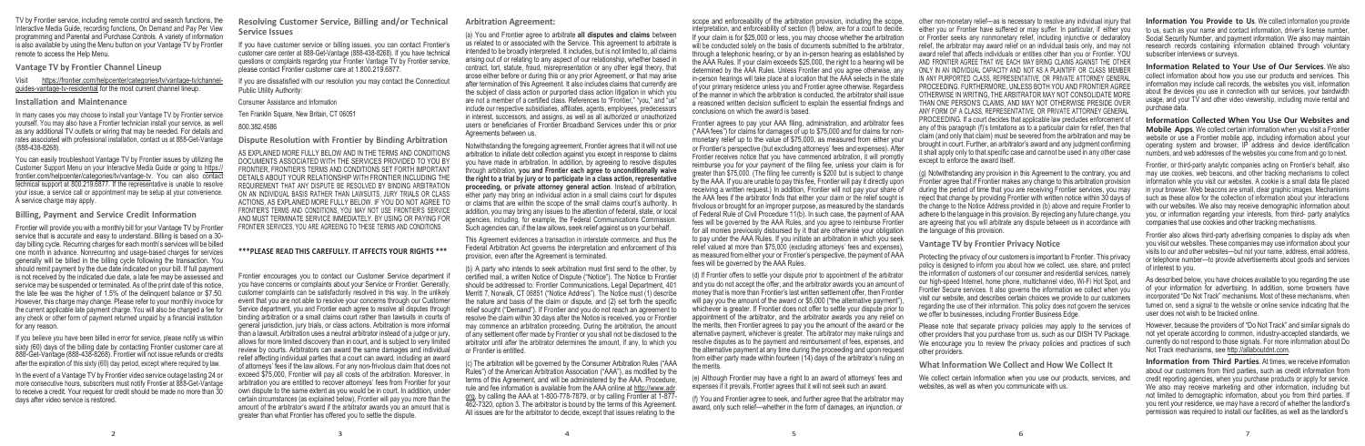TV by Frontier service, including remote control and search functions, the Interactive Media Guide, recording functions, On Demand and Pay Per View programming and Parental and Purchase Controls. A variety of information is also available by using the Menu button on your Vantage TV by Frontier remote to access the Help Menu.

**Vantage TV by Frontier Channel Lineup**

Visit https://frontier.com/helpcenter/categories/tv/vantage-tv/channelguides-vantage-tv-residential for the most current channel lineup.

#### **Installation and Maintenance**

In many cases you may choose to install your Vantage TV by Frontier service yourself. You may also have a Frontier technician install your service, as well as any additional TV outlets or wiring that may be needed. For details and rates associated with professional installation, contact us at 888-Get-Vantage (888-438-8268).

You can easily troubleshoot Vantage TV by Frontier issues by utilizing the Customer Support Menu on your Interactive Media Guide or going to https:// frontier.com/helpcenter/categories/tv/vantage-tv. You can also contact technical support at 800.219.6877. If the representative is unable to resolve your issue, a service call or appointment may be setup at your convenience. A service charge may apply.

If you believe you have been billed in error for service, please notify us within sixty (60) days of the billing date by contacting Frontier customer care at 888-Get-Vantage (888-438-8268). Frontier will not issue refunds or credits after the expiration of this sixty (60) day period, except where required by law.

**Billing, Payment and Service Credit Information**

Frontier will provide you with a monthly bill for your Vantage TV by Frontier service that is accurate and easy to understand. Billing is based on a 30 day billing cycle. Recurring charges for each month's services will be billed one month in advance. Nonrecurring and usage-based charges for services generally will be billed in the billing cycle following the transaction. You should remit payment by the due date indicated on your bill. If full payment is not received by the indicated due date, a late fee may be assessed and service may be suspended or terminated. As of the print date of this notice, the late fee was the higher of 1.5% of the delinquent balance or \$7.50. However, this charge may change. Please refer to your monthly invoice for the current applicable late payment charge. You will also be charged a fee for any check or other form of payment returned unpaid by a financial institution for any reason.

In the event of a Vantage TV by Frontier video service outage lasting 24 or more consecutive hours, subscribers must notify Frontier at 888-Get-Vantage to receive a credit. Your request for credit should be made no more than 30 days after video service is restored.

**Resolving Customer Service, Billing and/or Technical Service Issues**

If you have customer service or billing issues, you can contact Frontier's customer care center at 888-Get-Vantage (888-438-8268). If you have technical questions or complaints regarding your Frontier Vantage TV by Frontier service, please contact Frontier customer care at 1.800.219.6877.

If you are dissatisfied with our resolution you may contact the Connecticut Public Utility Authority:

Consumer Assistance and Information

Ten Franklin Square, New Britain, CT 06051

800.382.4586

**Dispute Resolution with Frontier by Binding Arbitration**

AS EXPLAINED MORE FULLY BELOW AND IN THE TERMS AND CONDITIONS DOCUMENTS ASSOCIATED WITH THE SERVICES PROVIDED TO YOU BY FRONTIER, FRONTIER'S TERMS AND CONDITIONS SET FORTH IMPORTANT DETAILS ABOUT YOUR RELATIONSHIP WITH FRONTIER INCLUDING THE REQUIREMENT THAT ANY DISPUTE BE RESOLVED BY BINDING ARBITRATION ON AN INDIVIDUAL BASIS RATHER THAN LAWSUITS, JURY TRIALS OR CLASS ACTIONS, AS EXPLAINED MORE FULLY BELOW. IF YOU DO NOT AGREE TO FRONTIER'S TERMS AND CONDITIONS, YOU MAY NOT USE FRONTIER'S SERVICE AND MUST TERMINATE SERVICE IMMEDIATELY. BY USING OR PAYING FOR FRONTIER SERVICES, YOU ARE AGREEING TO THESE TERMS AND CONDITIONS.

### **\*\*\*PLEASE READ THIS CAREFULLY. IT AFFECTS YOUR RIGHTS \*\*\***

c) The arbitration will be governed by the Consumer Arbitration Rules ("AAA Rules") of the American Arbitration Association ("AAA"), as modified by the terms of this Agreement, and will be administered by the AAA. Procedure, rule and fee information is available from the AAA online at [http://www.adr.](https://www.adr.org/)  org, [by calling the AAA at 1-800-778-7879,](https://www.adr.org/) or by calling Frontier at 1-877 462-7320, option 3. The arbitrator is bound by the terms of this Agreement. All issues are for the arbitrator to decide, except that issues relating to the

Frontier encourages you to contact our Customer Service department if you have concerns or complaints about your Service or Frontier. Generally, customer complaints can be satisfactorily resolved in this way. In the unlikely event that you are not able to resolve your concerns through our Customer Service department, you and Frontier each agree to resolve all disputes through binding arbitration or a small claims court rather than lawsuits in courts of general jurisdiction, jury trials, or class actions. Arbitration is more informal than a lawsuit. Arbitration uses a neutral arbitrator instead of a judge or jury, allows for more limited discovery than in court, and is subject to very limited review by courts. Arbitrators can award the same damages and individual relief affecting individual parties that a court can award, including an award of attorneys' fees if the law allows. For any non-frivolous claim that does not exceed \$75,000, Frontier will pay all costs of the arbitration. Moreover, in arbitration you are entitled to recover attorneys' fees from Frontier for your own dispute to the same extent as you would be in court. In addition, under certain circumstances (as explained below), Frontier will pay you more than the amount of the arbitrator's award if the arbitrator awards you an amount that is greater than what Frontier has offered you to settle the dispute.

**Arbitration Agreement:**

(d) If Frontier offers to settle your dispute prior to appointment of the arbitrator and you do not accept the offer, and the arbitrator awards you an amount of money that is more than Frontier's last written settlement offer, then Frontier will pay you the amount of the award or \$5,000 ("the alternative payment") whichever is greater. If Frontier does not offer to settle your dispute prior to appointment of the arbitrator, and the arbitrator awards you any relief on the merits, then Frontier agrees to pay you the amount of the award or the alternative payment, whichever is greater. The arbitrator may make rulings and resolve disputes as to the payment and reimbursement of fees, expenses, and the alternative payment at any time during the proceeding and upon request from either party made within fourteen (14) days of the arbitrator's ruling on the merits.

(a) You and Frontier agree to arbitrate **all disputes and claims** between us related to or associated with the Service. This agreement to arbitrate is intended to be broadly interpreted. It includes, but is not limited to, all claims arising out of or relating to any aspect of our relationship, whether based in contract, tort, statute, fraud, misrepresentation or any other legal theory, that arose either before or during this or any prior Agreement, or that may arise after termination of this Agreement. It also includes claims that currently are the subject of class action or purported class action litigation in which you are not a member of a certified class. References to "Frontier," "you," and "us" include our respective subsidiaries, affiliates, agents, employees, predecessors in interest, successors, and assigns, as well as all authorized or unauthorized users or beneficiaries of Frontier Broadband Services under this or prior Agreements between us.

Notwithstanding the foregoing agreement, Frontier agrees that it will not use arbitration to initiate debt collection against you except in response to claims you have made in arbitration. In addition, by agreeing to resolve disputes through arbitration, **you and Frontier each agree to unconditionally waive the right to a trial by jury or to participate in a class action, representative proceeding, or private attorney general action**. Instead of arbitration, either party may bring an individual action in a small claims court for disputes or claims that are within the scope of the small claims court's authority. In addition, you may bring any issues to the attention of federal, state, or local agencies, including, for example, the Federal Communications Commission. Such agencies can, if the law allows, seek relief against us on your behalf.

This Agreement evidences a transaction in interstate commerce, and thus the Federal Arbitration Act governs the interpretation and enforcement of this provision, even after the Agreement is terminated.

> Please note that separate privacy policies may apply to the services of other providers that you purchase from us, such as our DISH TV Package. We encourage you to review the privacy policies and practices of such other providers.

(b) A party who intends to seek arbitration must first send to the other, by certified mail, a written Notice of Dispute ("Notice"). The Notice to Frontier should be addressed to: Frontier Communications, Legal Department, 401 Merritt 7, Norwalk, CT 06851 ("Notice Address"). The Notice must (1) describe the nature and basis of the claim or dispute, and (2) set forth the specific relief sought ("Demand"). If Frontier and you do not reach an agreement to resolve the claim within 30 days after the Notice is received, you or Frontier may commence an arbitration proceeding. During the arbitration, the amount of any settlement offer made by Frontier or you shall not be disclosed to the arbitrator until after the arbitrator determines the amount, if any, to which you or Frontier is entitled.

scope and enforceability of the arbitration provision, including the scope, interpretation, and enforceability of section (f) below, are for a court to decide. If your claim is for \$25,000 or less, you may choose whether the arbitration will be conducted solely on the basis of documents submitted to the arbitrator, through a telephonic hearing, or by an in-person hearing as established by the AAA Rules. If your claim exceeds \$25,000, the right to a hearing will be determined by the AAA Rules. Unless Frontier and you agree otherwise, any in-person hearings will take place at a location that the AAA selects in the state of your primary residence unless you and Frontier agree otherwise. Regardless of the manner in which the arbitration is conducted, the arbitrator shall issue a reasoned written decision sufficient to explain the essential findings and conclusions on which the award is based.

Frontier agrees to pay your AAA filing, administration, and arbitrator fees ("AAA fees") for claims for damages of up to \$75,000 and for claims for nonmonetary relief up to the value of \$75,000, as measured from either your or Frontier's perspective (but excluding attorneys' fees and expenses). After Frontier receives notice that you have commenced arbitration, it will promptly reimburse you for your payment of the filing fee, unless your claim is for greater than \$75,000. (The filing fee currently is \$200 but is subject to change by the AAA. If you are unable to pay this fee, Frontier will pay it directly upon receiving a written request.) In addition, Frontier will not pay your share of the AAA fees if the arbitrator finds that either your claim or the relief sought is frivolous or brought for an improper purpose, as measured by the standards of Federal Rule of Civil Procedure 11(b). In such case, the payment of AAA fees will be governed by the AAA Rules, and you agree to reimburse Frontier for all monies previously disbursed by it that are otherwise your obligation to pay under the AAA Rules. If you initiate an arbitration in which you seek relief valued at more than \$75,000 (excluding attorneys' fees and expenses) as measured from either your or Frontier's perspective, the payment of AAA fees will be governed by the AAA Rules.

(e) Although Frontier may have a right to an award of attorneys' fees and expenses if it prevails, Frontier agrees that it will not seek such an award.

(f) You and Frontier agree to seek, and further agree that the arbitrator may award, only such relief—whether in the form of damages, an injunction, or

other non-monetary relief—as is necessary to resolve any individual injury that either you or Frontier have suffered or may suffer. In particular, if either you or Frontier seeks any nonmonetary relief, including injunctive or declaratory relief, the arbitrator may award relief on an individual basis only, and may not award relief that affects individuals or entities other than you or Frontier. YOU AND FRONTIER AGREE THAT WE EACH MAY BRING CLAIMS AGAINST THE OTHER ONLY IN AN INDIVIDUAL CAPACITY AND NOT AS A PLAINTIFF OR CLASS MEMBER IN ANY PURPORTED CLASS, REPRESENTATIVE, OR PRIVATE ATTORNEY GENERAL PROCEEDING. FURTHERMORE, UNLESS BOTH YOU AND FRONTIER AGREE OTHERWISE IN WRITING, THE ARBITRATOR MAY NOT CONSOLIDATE MORE THAN ONE PERSON'S CLAIMS, AND MAY NOT OTHERWISE PRESIDE OVER ANY FORM OF A CLASS, REPRESENTATIVE, OR PRIVATE ATTORNEY GENERAL PROCEEDING. If a court decides that applicable law precludes enforcement of any of this paragraph (f)'s limitations as to a particular claim for relief, then that claim (and only that claim) must be severed from the arbitration and may be brought in court. Further, an arbitrator's award and any judgment confirming it shall apply only to that specific case and cannot be used in any other case except to enforce the award itself.

(g) Notwithstanding any provision in this Agreement to the contrary, you and Frontier agree that if Frontier makes any change to this arbitration provision during the period of time that you are receiving Frontier services, you may reject that change by providing Frontier with written notice within 30 days of the change to the Notice Address provided in (b) above and require Frontier to adhere to the language in this provision. By rejecting any future change, you are agreeing that you will arbitrate any dispute between us in accordance with the language of this provision.

### **Vantage TV by Frontier Privacy Notice**

Protecting the privacy of our customers is important to Frontier. This privacy policy is designed to inform you about how we collect, use, share, and protect the information of customers of our consumer and residential services, namely our high-speed Internet, home phone, multichannel video, Wi-Fi Hot Spot, and Frontier Secure services. It also governs the information we collect when you visit our website, and describes certain choices we provide to our customers regarding the use of their information. This policy does not govern the services we offer to businesses, including Frontier Business Edge.

**What Information We Collect and How We Collect It**

We collect certain information when you use our products, services, and websites, as well as when you communicate with us.

**Information You Provide to Us**. We collect information you provide to us, such as your name and contact information, driver's license number, Social Security Number, and payment information. We also may maintain research records containing information obtained through voluntary subscriber interviews or surveys.

**Information Related to Your Use of Our Services**. We also collect information about how you use our products and services. This information may include call records, the websites you visit, information about the devices you use in connection with our services, your bandwidth usage, and your TV and other video viewership, including movie rental and purchase data.

**Information Collected When You Use Our Websites and Mobile Apps**. We collect certain information when you visit a Frontier website or use a Frontier mobile app, including information about your operating system and browser, IP address and device identification numbers, and web addresses of the websites you come from and go to next.

Frontier, or third-party analytic companies acting on Frontier's behalf, also may use cookies, web beacons, and other tracking mechanisms to collect information while you visit our websites. A cookie is a small data file placed in your browser. Web beacons are small, clear graphic images. Mechanisms such as these allow for the collection of information about your interactions with our websites. We also may receive demographic information about you, or information regarding your interests, from third- party analytics companies that use cookies and other tracking mechanisms.

Frontier also allows third-party advertising companies to display ads when you visit our websites. These companies may use information about your visits to our and other websites—but not your name, address, email address, or telephone number—to provide advertisements about goods and services of interest to you.

As described below, you have choices available to you regarding the use of your information for advertising. In addition, some browsers have incorporated "Do Not Track" mechanisms. Most of these mechanisms, when turned on, send a signal to the website or online service indicating that the user does not wish to be tracked online.

However, because the providers of "Do Not Track" and similar signals do not yet operate according to common, industry-accepted standards, we currently do not respond to those signals. For more information about Do Not Track mechanisms, se[e http://allaboutdnt.com.](http://allaboutdnt.com/)

**Information from Third Parties**. At times, we receive information about our customers from third parties, such as credit information from credit reporting agencies, when you purchase products or apply for service. We also may receive marketing and other information, including but not limited to demographic information, about you from third parties. If you rent your residence, we may have a record of whether the landlord's permission was required to install our facilities, as well as the landlord's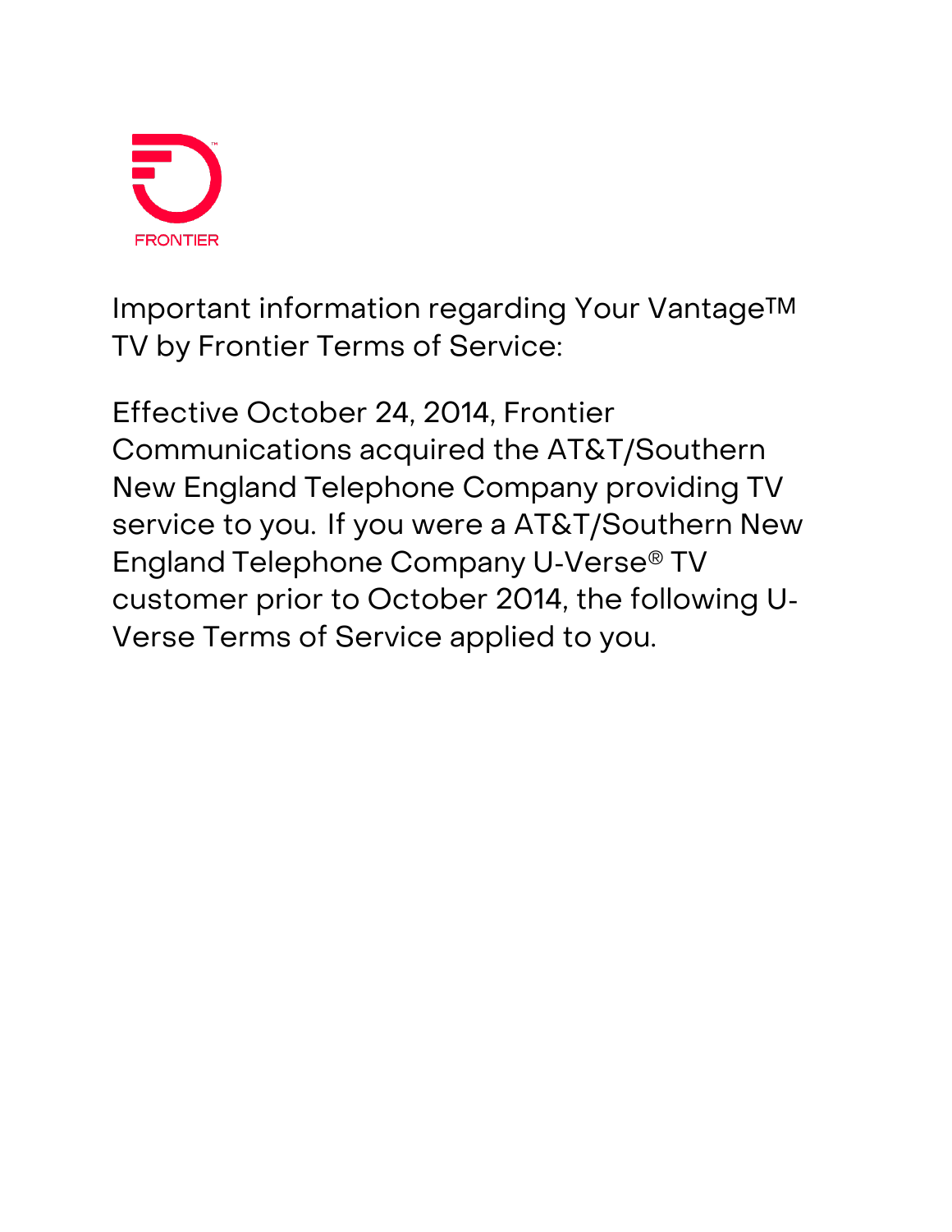

**Important information regarding Your Vantage™ TV by Frontier Terms of Service:** 

Effective October 24, 2014, Frontier Communications acquired the AT&T/Southern New England Telephone Company providing TV service to you. If you were a AT&T/Southern New England Telephone Company U‐Verse® TV customer prior to October 2014, the following U‐ Verse Terms of Service applied to you.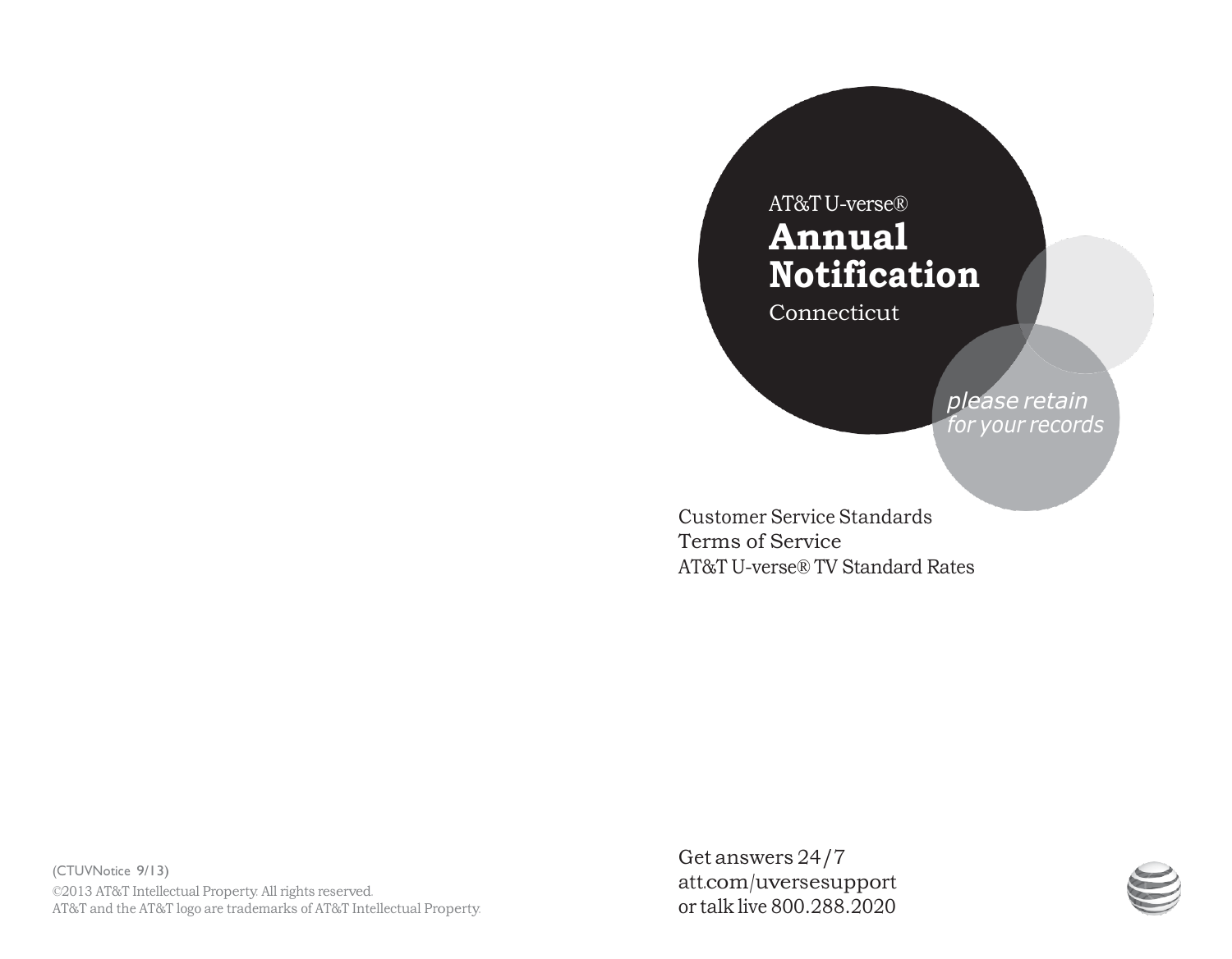# AT&TU-verse® **Annual Notification**

Connecticut

*please retain for your records*

Customer Service Standards Terms of Service AT&T U-verse® TV Standard Rates

(CTUVNotice 9/13) ©2013 AT&T Intellectual Property. All rights reserved. AT&T and the AT&T logo are trademarks of AT&T Intellectual Property. Get answers 24/7 att.com/uversesupport or talk live 800.288.2020

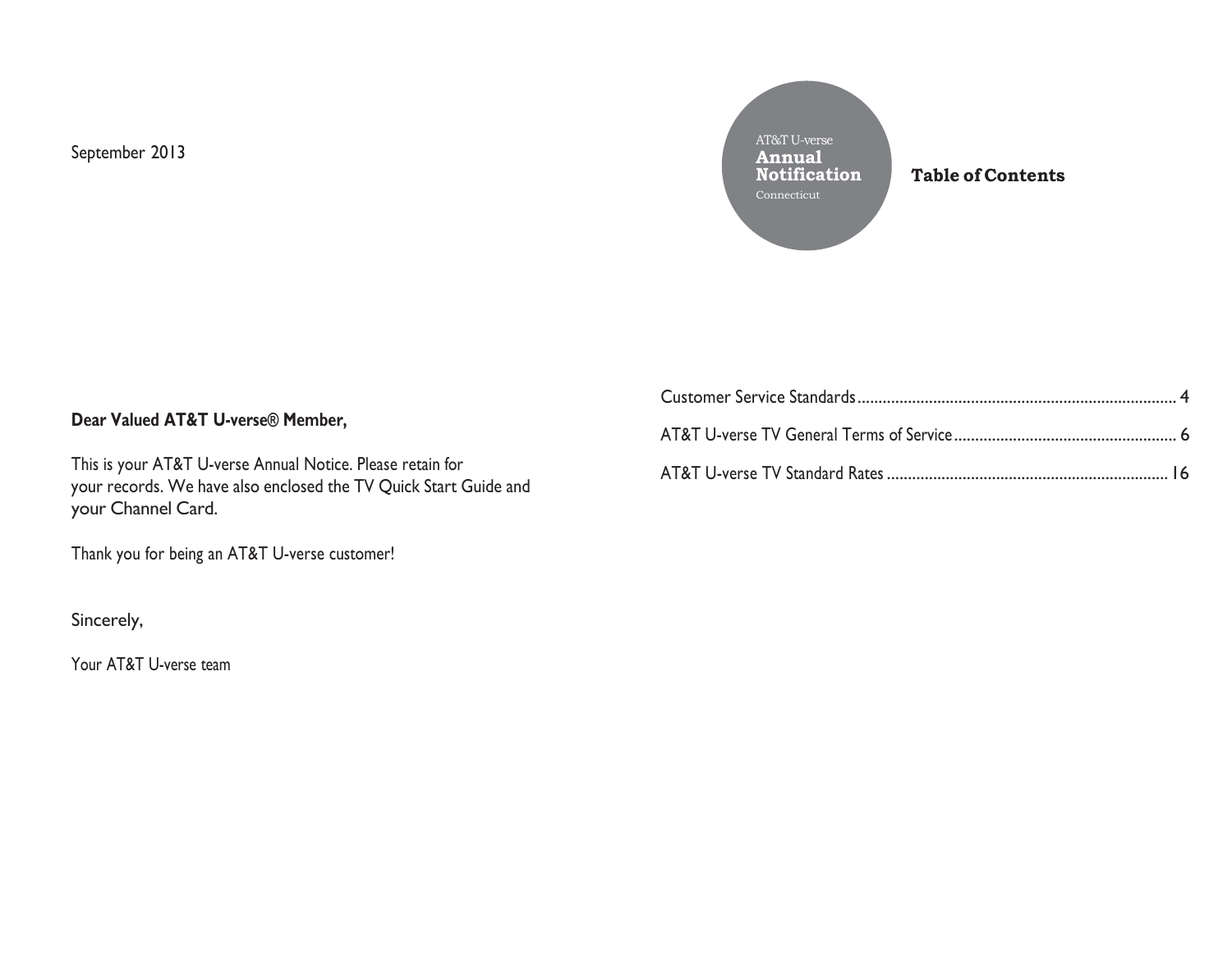September 2013

AT&T U-verse **Annual Notification** Connecticut

**Table of Contents**

# **Dear Valued AT&T U-verse® Member,**

This is your AT&T U-verse Annual Notice. Please retain for your records. We have also enclosed the TV Quick Start Guide and your Channel Card.

Thank you for being an AT&T U-verse customer!

Sincerely,

Your AT&T U-verse team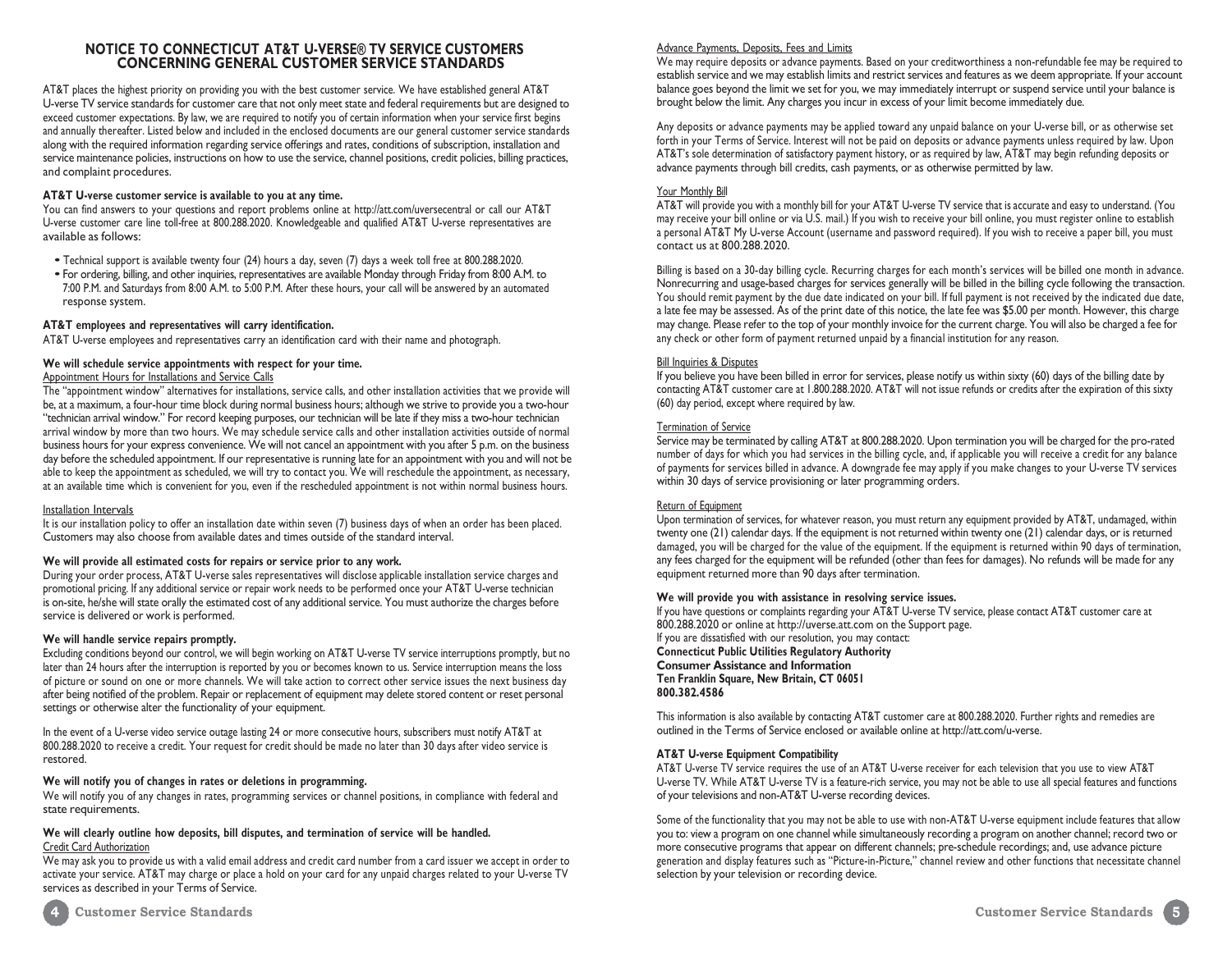#### **NOTICE TO CONNECTICUT AT&T U-VERSE® TV SERVICE CUSTOMERS CONCERNING GENERAL CUSTOMER SERVICE STANDARDS**

AT&T places the highest priority on providing you with the best customer service. We have established general AT&T U-verse TV service standards for customer care that not only meet state and federal requirements but are designed to exceed customer expectations. By law, we are required to notify you of certain information when your service first begins and annually thereafter. Listed below and included in the enclosed documents are our general customer service standards along with the required information regarding service offerings and rates, conditions of subscription, installation and service maintenance policies, instructions on how to use the service, channel positions, credit policies, billing practices, and complaint procedures.

#### **AT&T U-verse customer service is available to you at any time.**

You can find answers to your questions and report problems online a[t http://att.com/uversecentral o](http://att.com/uversecentral)r call our AT&T U-verse customer care line toll-free at 800.288.2020. Knowledgeable and qualified AT&T U-verse representatives are available as follows:

- Technical support is available twenty four (24) hours <sup>a</sup> day, seven (7) days <sup>a</sup> week toll free at 800.288.2020.
- For ordering, billing, and other inquiries, representatives are available Monday through Friday from 8:00 A.M. to 7:00 P.M. and Saturdays from 8:00 A.M. to 5:00 P.M. After these hours, your call will be answered by an automated response system.

#### **AT&T employees and representatives will carry identification.**

AT&T U-verse employees and representatives carry an identification card with their name and photograph.

#### **We will schedule service appointments with respect for your time.**

#### Appointment Hours for Installations and Service Calls

The "appointment window" alternatives for installations, service calls, and other installation activities that we provide will be, at a maximum, a four-hour time block during normal business hours; although we strive to provide you a two-hour "technician arrival window." For record keeping purposes, our technician will be late if they miss a two-hour technician arrival window by more than two hours. We may schedule service calls and other installation activities outside of normal business hours for your express convenience. We will not cancel an appointment with you after 5 p.m. on the business day before the scheduled appointment. If our representative is running late for an appointment with you and will not be able to keep the appointment as scheduled, we will try to contact you. We will reschedule the appointment, as necessary, at an available time which is convenient for you, even if the rescheduled appointment is not within normal business hours.

#### Installation Intervals

It is our installation policy to offer an installation date within seven (7) business days of when an order has been placed. Customers may also choose from available dates and times outside of the standard interval.

#### **We will provide all estimated costs for repairs or service prior to any work.**

During your order process, AT&T U-verse sales representatives will disclose applicable installation service charges and promotional pricing. If any additional service or repair work needs to be performed once your AT&T U-verse technician is on-site, he/she will state orally the estimated cost of any additional service. You must authorize the charges before service is delivered or work is performed.

#### **We will handle service repairs promptly.**

Excluding conditions beyond our control, we will begin working on AT&T U-verse TV service interruptions promptly, but no later than 24 hours after the interruption is reported by you or becomes known to us. Service interruption means the loss of picture or sound on one or more channels. We will take action to correct other service issues the next business day after being notified of the problem. Repair or replacement of equipment may delete stored content or reset personal settings or otherwise alter the functionality of your equipment.

In the event of a U-verse video service outage lasting 24 or more consecutive hours, subscribers must notify AT&T at 800.288.2020 to receive a credit. Your request for credit should be made no later than 30 days after video service is restored.

#### **We will notify you of changes in rates or deletions in programming.**

We will notify you of any changes in rates, programming services or channel positions, in compliance with federal and state requirements.

#### **We will clearly outline how deposits, bill disputes, and termination of service will be handled.** Credit Card Authorization

<span id="page-5-0"></span>We may ask you to provide us with a valid email address and credit card number from a card issuer we accept in order to activate your service. AT&T may charge or place a hold on your card for any unpaid charges related to your U-verse TV services as described in your Terms of Service.

#### Advance Payments, Deposits, Fees and Limits

We may require deposits or advance payments. Based on your creditworthiness a non-refundable fee may be required to establish service and we may establish limits and restrict services and features as we deem appropriate. If your account balance goes beyond the limit we set for you, we may immediately interrupt or suspend service until your balance is brought below the limit. Any charges you incur in excess of your limit become immediately due.

Any deposits or advance payments may be applied toward any unpaid balance on your U-verse bill, or as otherwise set forth in your Terms of Service. Interest will not be paid on deposits or advance payments unless required by law. Upon AT&T's sole determination of satisfactory payment history, or as required by law, AT&T may begin refunding deposits or advance payments through bill credits, cash payments, or as otherwise permitted by law.

#### Your Monthly Bill

AT&T will provide you with a monthly bill for your AT&T U-verse TV service that is accurate and easy to understand. (You may receive your bill online or via U.S. mail.) If you wish to receive your bill online, you must register online to establish a personal AT&T My U-verse Account (username and password required). If you wish to receive a paper bill, you must contact us at 800.288.2020.

Billing is based on a 30-day billing cycle. Recurring charges for each month's services will be billed one month in advance. Nonrecurring and usage-based charges for services generally will be billed in the billing cycle following the transaction. You should remit payment by the due date indicated on your bill. If full payment is not received by the indicated due date, a late fee may be assessed. As of the print date of this notice, the late fee was \$5.00 per month. However, this charge may change. Please refer to the top of your monthly invoice for the current charge. You will also be charged a fee for any check or other form of payment returned unpaid by a financial institution for any reason.

#### **Bill Inquiries & Disputes**

If you believe you have been billed in error for services, please notify us within sixty (60) days of the billing date by contacting AT&T customer care at 1.800.288.2020. AT&T will not issue refunds or credits after the expiration of this sixty (60) day period, except where required by law.

#### Termination of Service

Service may be terminated by calling AT&T at 800.288.2020. Upon termination you will be charged for the pro-rated number of days for which you had services in the billing cycle, and, if applicable you will receive a credit for any balance of payments for services billed in advance. A downgrade fee may apply if you make changes to your U-verse TV services within 30 days of service provisioning or later programming orders.

#### Return of Equipment

Upon termination of services, for whatever reason, you must return any equipment provided by AT&T, undamaged, within twenty one (21) calendar days. If the equipment is not returned within twenty one (21) calendar days, or is returned damaged, you will be charged for the value of the equipment. If the equipment is returned within 90 days of termination, any fees charged for the equipment will be refunded (other than fees for damages). No refunds will be made for any equipment returned more than 90 days after termination.

#### **We will provide you with assistance in resolving service issues.**

If you have questions or complaints regarding your AT&T U-verse TV service, please contact AT&T customer care at 800.288.2020 or online at [http://uverse.att.com](https://www.att.com/) on the Support page. If you are dissatisfied with our resolution, you may contact: **Connecticut Public Utilities Regulatory Authority Consumer Assistance and Information Ten Franklin Square, New Britain, CT 06051 800.382.4586**

This information is also available by contacting AT&T customer care at 800.288.2020. Further rights and remedies are outlined in the Terms of Service enclosed or available online [at http://att.com/u-verse.](https://www.att.com/)

#### **AT&T U-verse Equipment Compatibility**

AT&T U-verse TV service requires the use of an AT&T U-verse receiver for each television that you use to view AT&T U-verse TV. While AT&T U-verse TV is a feature-rich service, you may not be able to use all special features and functions of your televisions and non-AT&T U-verse recording devices.

Some of the functionality that you may not be able to use with non-AT&T U-verse equipment include features that allow you to: view a program on one channel while simultaneously recording a program on another channel; record two or more consecutive programs that appear on different channels; pre-schedule recordings; and, use advance picture generation and display features such as "Picture-in-Picture," channel review and other functions that necessitate channel selection by your television or recording device.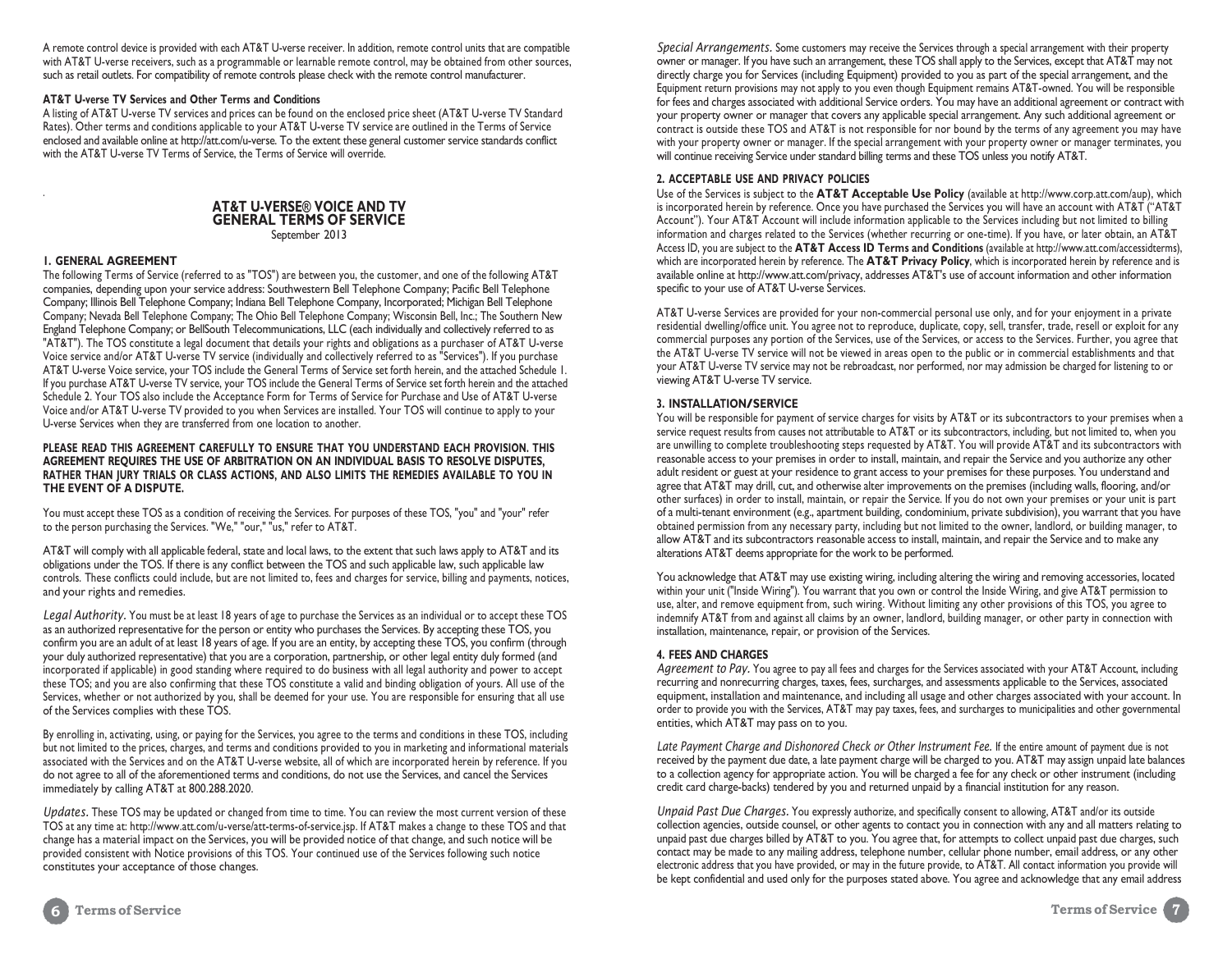A remote control device is provided with each AT&T U-verse receiver. In addition, remote control units that are compatible with AT&T U-verse receivers, such as a programmable or learnable remote control, may be obtained from other sources, such as retail outlets. For compatibility of remote controls please check with the remote control manufacturer.

#### **AT&T U-verse TV Services and Other Terms and Conditions**

A listing of AT&T U-verse TV services and prices can be found on the enclosed price sheet (AT&T U-verse TV Standard Rates). Other terms and conditions applicable to your AT&T U-verse TV service are outlined in the Terms of Service enclosed and available online [at http://att.com/u-verse. T](http://www.att.com/)o the extent these general customer service standards conflict with the AT&T U-verse TV Terms of Service, the Terms of Service will override.

## **AT&T U-VERSE® VOICE AND TV GENERAL TERMS OF SERVICE**

September 2013

#### **1. GENERAL AGREEMENT**

.

The following Terms of Service (referred to as "TOS") are between you, the customer, and one of the following AT&T companies, depending upon your service address: Southwestern Bell Telephone Company; Pacific Bell Telephone Company; Illinois Bell Telephone Company; Indiana Bell Telephone Company, Incorporated; Michigan Bell Telephone Company; Nevada Bell Telephone Company; The Ohio Bell Telephone Company; Wisconsin Bell, Inc.; The Southern New England Telephone Company; or BellSouth Telecommunications, LLC (each individually and collectively referred to as "AT&T"). The TOS constitute a legal document that details your rights and obligations as a purchaser of AT&T U-verse Voice service and/or AT&T U-verse TV service (individually and collectively referred to as "Services"). If you purchase AT&T U-verse Voice service, your TOS include the General Terms of Service set forth herein, and the attached Schedule 1. If you purchase AT&T U-verse TV service, your TOS include the General Terms of Service set forth herein and the attached Schedule 2. Your TOS also include the Acceptance Form for Terms of Service for Purchase and Use of AT&T U-verse Voice and/or AT&T U-verse TV provided to you when Services are installed. Your TOS will continue to apply to your U-verse Services when they are transferred from one location to another.

#### **PLEASE READ THIS AGREEMENT CAREFULLY TO ENSURE THAT YOU UNDERSTAND EACH PROVISION. THIS AGREEMENT REQUIRES THE USE OF ARBITRATION ON AN INDIVIDUAL BASIS TO RESOLVE DISPUTES, RATHER THAN JURY TRIALS OR CLASS ACTIONS, AND ALSO LIMITS THE REMEDIES AVAILABLE TO YOU IN THE EVENT OF A DISPUTE.**

You must accept these TOS as a condition of receiving the Services. For purposes of these TOS, "you" and "your" refer to the person purchasing the Services. "We," "our," "us," refer to AT&T.

AT&T will comply with all applicable federal, state and local laws, to the extent that such laws apply to AT&T and its obligations under the TOS. If there is any conflict between the TOS and such applicable law, such applicable law controls. These conflicts could include, but are not limited to, fees and charges for service, billing and payments, notices, and your rights and remedies.

*Legal Authority.* You must be at least 18 years of age to purchase the Services as an individual or to accept these TOS as an authorized representative for the person or entity who purchases the Services. By accepting these TOS, you confirm you are an adult of at least 18 years of age. If you are an entity, by accepting these TOS, you confirm (through your duly authorized representative) that you are a corporation, partnership, or other legal entity duly formed (and incorporated if applicable) in good standing where required to do business with all legal authority and power to accept these TOS; and you are also confirming that these TOS constitute a valid and binding obligation of yours. All use of the Services, whether or not authorized by you, shall be deemed for your use. You are responsible for ensuring that all use of the Services complies with these TOS.

By enrolling in, activating, using, or paying for the Services, you agree to the terms and conditions in these TOS, including but not limited to the prices, charges, and terms and conditions provided to you in marketing and informational materials associated with the Services and on the AT&T U-verse website, all of which are incorporated herein by reference. If you do not agree to all of the aforementioned terms and conditions, do not use the Services, and cancel the Services immediately by calling AT&T at 800.288.2020.

*Updates.* These TOS may be updated or changed from time to time. You can review the most current version of these TOS at any time at: [http://www.att.com/u-verse/att-terms-of-service.jsp.](https://www.att.com/legal/terms.attWebsiteTermsOfUse.html) If AT&T makes a change to these TOS and that change has a material impact on the Services, you will be provided notice of that change, and such notice will be provided consistent with Notice provisions of this TOS. Your continued use of the Services following such notice constitutes your acceptance of those changes.

*Special Arrangements.* Some customers may receive the Services through a special arrangement with their property owner or manager. If you have such an arrangement, these TOS shall apply to the Services, except that AT&T may not directly charge you for Services (including Equipment) provided to you as part of the special arrangement, and the Equipment return provisions may not apply to you even though Equipment remains AT&T-owned. You will be responsible for fees and charges associated with additional Service orders. You may have an additional agreement or contract with your property owner or manager that covers any applicable special arrangement. Any such additional agreement or contract is outside these TOS and AT&T is not responsible for nor bound by the terms of any agreement you may have with your property owner or manager. If the special arrangement with your property owner or manager terminates, you will continue receiving Service under standard billing terms and these TOS unless you notify AT&T.

#### **2. ACCEPTABLE USE AND PRIVACY POLICIES**

Use of the Services is subject to the **AT&T Acceptable Use Policy** (available at [http://www.corp.att.com/aup\),](https://www.att.com/legal/terms.attWebsiteTermsOfUse.html#14) which is incorporated herein by reference. Once you have purchased the Services you will have an account with AT&T ("AT&T Account"). Your AT&T Account will include information applicable to the Services including but not limited to billing information and charges related to the Services (whether recurring or one-time). If you have, or later obtain, an AT&T Access ID, you are subject to the **AT&T Access ID Terms and Conditions** (available at [http://www.att.com/accessidterms\),](http://www.att.com/accessidterms)) which are incorporated herein by reference. The **AT&T Privacy Policy**, which is incorporated herein by reference and is available online at [http://www.att.com/privacy,](http://www.att.com/privacy) addresses AT&T's use of account information and other information specific to your use of AT&T U-verse Services.

AT&T U-verse Services are provided for your non-commercial personal use only, and for your enjoyment in a private residential dwelling/office unit. You agree not to reproduce, duplicate, copy, sell, transfer, trade, resell or exploit for any commercial purposes any portion of the Services, use of the Services, or access to the Services. Further, you agree that the AT&T U-verse TV service will not be viewed in areas open to the public or in commercial establishments and that your AT&T U-verse TV service may not be rebroadcast, nor performed, nor may admission be charged for listening to or viewing AT&T U-verse TV service.

#### **3. INSTALLATION/SERVICE**

You will be responsible for payment of service charges for visits by AT&T or its subcontractors to your premises when a service request results from causes not attributable to AT&T or its subcontractors, including, but not limited to, when you are unwilling to complete troubleshooting steps requested by AT&T. You will provide AT&T and its subcontractors with reasonable access to your premises in order to install, maintain, and repair the Service and you authorize any other adult resident or guest at your residence to grant access to your premises for these purposes. You understand and agree that AT&T may drill, cut, and otherwise alter improvements on the premises (including walls, flooring, and/or other surfaces) in order to install, maintain, or repair the Service. If you do not own your premises or your unit is part of a multi-tenant environment (e.g., apartment building, condominium, private subdivision), you warrant that you have obtained permission from any necessary party, including but not limited to the owner, landlord, or building manager, to allow AT&T and its subcontractors reasonable access to install, maintain, and repair the Service and to make any alterations AT&T deems appropriate for the work to be performed.

You acknowledge that AT&T may use existing wiring, including altering the wiring and removing accessories, located within your unit ("Inside Wiring"). You warrant that you own or control the Inside Wiring, and give AT&T permission to use, alter, and remove equipment from, such wiring. Without limiting any other provisions of this TOS, you agree to indemnify AT&T from and against all claims by an owner, landlord, building manager, or other party in connection with installation, maintenance, repair, or provision of the Services.

#### **4. FEES AND CHARGES**

*Agreement to Pay.* You agree to pay all fees and charges for the Services associated with your AT&T Account, including recurring and nonrecurring charges, taxes, fees, surcharges, and assessments applicable to the Services, associated equipment, installation and maintenance, and including all usage and other charges associated with your account. In order to provide you with the Services, AT&T may pay taxes, fees, and surcharges to municipalities and other governmental entities, which AT&T may pass on to you.

Late Payment Charge and Dishonored Check or Other Instrument Fee. If the entire amount of payment due is not received by the payment due date, a late payment charge will be charged to you. AT&T may assign unpaid late balances to a collection agency for appropriate action. You will be charged a fee for any check or other instrument (including credit card charge-backs) tendered by you and returned unpaid by a financial institution for any reason.

*Unpaid Past Due Charges.* You expressly authorize, and specifically consent to allowing, AT&T and/or its outside collection agencies, outside counsel, or other agents to contact you in connection with any and all matters relating to unpaid past due charges billed by AT&T to you. You agree that, for attempts to collect unpaid past due charges, such contact may be made to any mailing address, telephone number, cellular phone number, email address, or any other electronic address that you have provided, or may in the future provide, to AT&T. All contact information you provide will be kept confidential and used only for the purposes stated above. You agree and acknowledge that any email address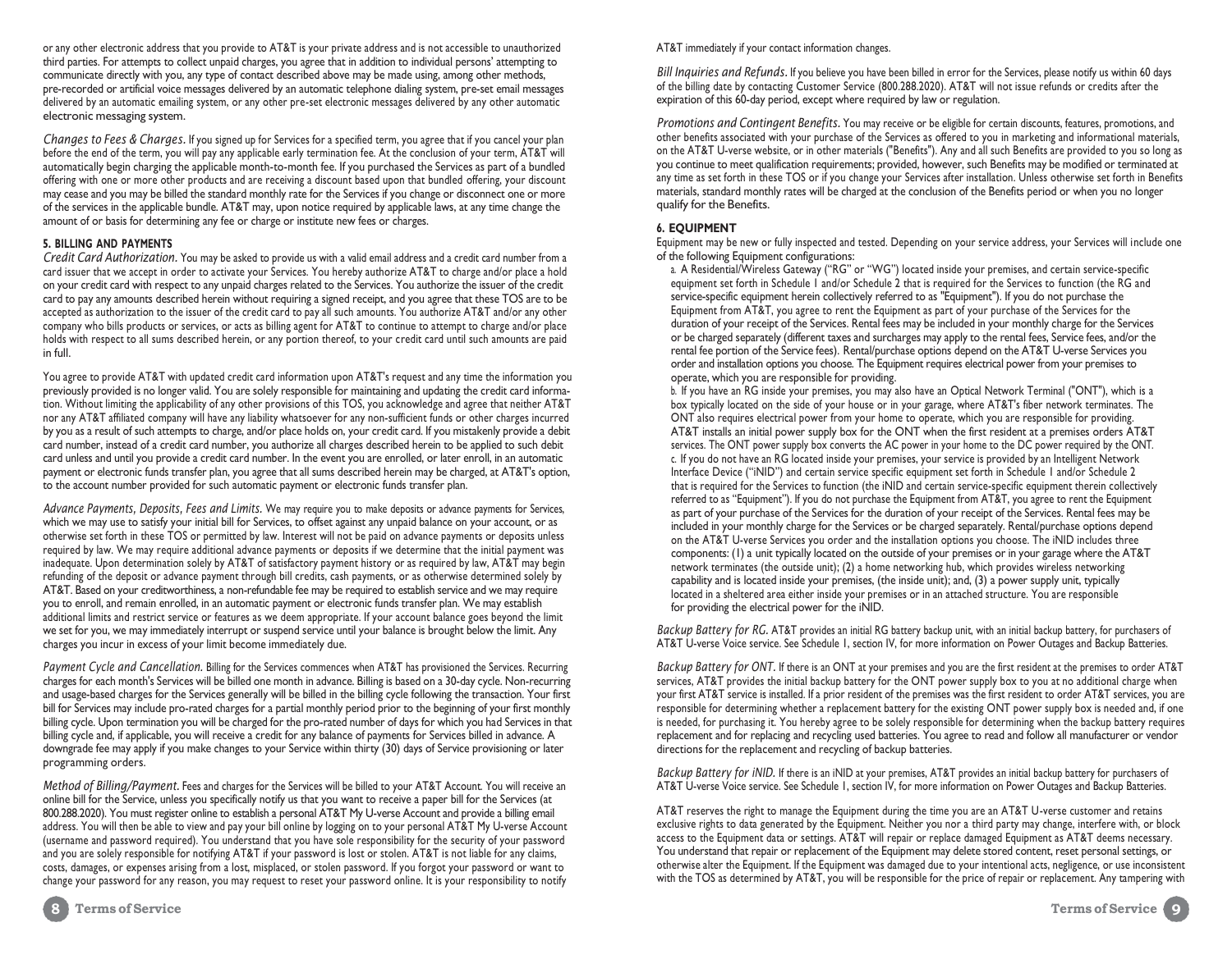or any other electronic address that you provide to AT&T is your private address and is not accessible to unauthorized third parties. For attempts to collect unpaid charges, you agree that in addition to individual persons' attempting to communicate directly with you, any type of contact described above may be made using, among other methods, pre-recorded or artificial voice messages delivered by an automatic telephone dialing system, pre-set email messages delivered by an automatic emailing system, or any other pre-set electronic messages delivered by any other automatic electronic messaging system.

*Changes to Fees & Charges.* If you signed up for Services for a specified term, you agree that if you cancel your plan before the end of the term, you will pay any applicable early termination fee. At the conclusion of your term, AT&T will automatically begin charging the applicable month-to-month fee. If you purchased the Services as part of a bundled offering with one or more other products and are receiving a discount based upon that bundled offering, your discount may cease and you may be billed the standard monthly rate for the Services if you change or disconnect one or more of the services in the applicable bundle. AT&T may, upon notice required by applicable laws, at any time change the amount of or basis for determining any fee or charge or institute new fees or charges.

#### **5. BILLING AND PAYMENTS**

*Credit Card Authorization.* You may be asked to provide us with a valid email address and a credit card number from a card issuer that we accept in order to activate your Services. You hereby authorize AT&T to charge and/or place a hold on your credit card with respect to any unpaid charges related to the Services. You authorize the issuer of the credit card to pay any amounts described herein without requiring a signed receipt, and you agree that these TOS are to be accepted as authorization to the issuer of the credit card to pay all such amounts. You authorize AT&T and/or any other company who bills products or services, or acts as billing agent for AT&T to continue to attempt to charge and/or place holds with respect to all sums described herein, or any portion thereof, to your credit card until such amounts are paid in full.

You agree to provide AT&T with updated credit card information upon AT&T's request and any time the information you previously provided is no longer valid. You are solely responsible for maintaining and updating the credit card information. Without limiting the applicability of any other provisions of this TOS, you acknowledge and agree that neither AT&T nor any AT&T affiliated company will have any liability whatsoever for any non-sufficient funds or other charges incurred by you as a result of such attempts to charge, and/or place holds on, your credit card. If you mistakenly provide a debit card number, instead of a credit card number, you authorize all charges described herein to be applied to such debit card unless and until you provide a credit card number. In the event you are enrolled, or later enroll, in an automatic payment or electronic funds transfer plan, you agree that all sums described herein may be charged, at AT&T's option, to the account number provided for such automatic payment or electronic funds transfer plan.

*Advance Payments, Deposits, Fees and Limits.* We may require you to make deposits or advance payments for Services, which we may use to satisfy your initial bill for Services, to offset against any unpaid balance on your account, or as otherwise set forth in these TOS or permitted by law. Interest will not be paid on advance payments or deposits unless required by law. We may require additional advance payments or deposits if we determine that the initial payment was inadequate. Upon determination solely by AT&T of satisfactory payment history or as required by law, AT&T may begin refunding of the deposit or advance payment through bill credits, cash payments, or as otherwise determined solely by AT&T. Based on your creditworthiness, a non-refundable fee may be required to establish service and we may require you to enroll, and remain enrolled, in an automatic payment or electronic funds transfer plan. We may establish additional limits and restrict service or features as we deem appropriate. If your account balance goes beyond the limit we set for you, we may immediately interrupt or suspend service until your balance is brought below the limit. Any charges you incur in excess of your limit become immediately due.

*Payment Cycle and Cancellation.* Billing for the Services commences when AT&T has provisioned the Services. Recurring charges for each month's Services will be billed one month in advance. Billing is based on a 30-day cycle. Non-recurring and usage-based charges for the Services generally will be billed in the billing cycle following the transaction. Your first bill for Services may include pro-rated charges for a partial monthly period prior to the beginning of your first monthly billing cycle. Upon termination you will be charged for the pro-rated number of days for which you had Services in that billing cycle and, if applicable, you will receive a credit for any balance of payments for Services billed in advance. A downgrade fee may apply if you make changes to your Service within thirty (30) days of Service provisioning or later programming orders.

*Method of Billing/Payment.* Fees and charges for the Services will be billed to your AT&T Account. You will receive an online bill for the Service, unless you specifically notify us that you want to receive a paper bill for the Services (at 800.288.2020). You must register online to establish a personal AT&T My U-verse Account and provide a billing email address. You will then be able to view and pay your bill online by logging on to your personal AT&T My U-verse Account (username and password required). You understand that you have sole responsibility for the security of your password and you are solely responsible for notifying AT&T if your password is lost or stolen. AT&T is not liable for any claims, costs, damages, or expenses arising from a lost, misplaced, or stolen password. If you forgot your password or want to change your password for any reason, you may request to reset your password online. It is your responsibility to notify

#### AT&T immediately if your contact information changes.

*Bill Inquiries and Refunds.* If you believe you have been billed in error for the Services, please notify us within 60 days of the billing date by contacting Customer Service (800.288.2020). AT&T will not issue refunds or credits after the expiration of this 60-day period, except where required by law or regulation.

*Promotions and Contingent Benefits.* You may receive or be eligible for certain discounts, features, promotions, and other benefits associated with your purchase of the Services as offered to you in marketing and informational materials, on the AT&T U-verse website, or in other materials ("Benefits"). Any and all such Benefits are provided to you so long as you continue to meet qualification requirements; provided, however, such Benefits may be modified or terminated at any time as set forth in these TOS or if you change your Services after installation. Unless otherwise set forth in Benefits materials, standard monthly rates will be charged at the conclusion of the Benefits period or when you no longer qualify for the Benefits.

#### **6. EQUIPMENT**

Equipment may be new or fully inspected and tested. Depending on your service address, your Services will include one of the following Equipment configurations:

a. A Residential/Wireless Gateway ("RG" or "WG") located inside your premises, and certain service-specific equipment set forth in Schedule 1 and/or Schedule 2 that is required for the Services to function (the RG and service-specific equipment herein collectively referred to as "Equipment"). If you do not purchase the Equipment from AT&T, you agree to rent the Equipment as part of your purchase of the Services for the duration of your receipt of the Services. Rental fees may be included in your monthly charge for the Services or be charged separately (different taxes and surcharges may apply to the rental fees, Service fees, and/or the rental fee portion of the Service fees). Rental/purchase options depend on the AT&T U-verse Services you order and installation options you choose. The Equipment requires electrical power from your premises to operate, which you are responsible for providing.

b. If you have an RG inside your premises, you may also have an Optical Network Terminal ("ONT"), which is a box typically located on the side of your house or in your garage, where AT&T's fiber network terminates. The ONT also requires electrical power from your home to operate, which you are responsible for providing. AT&T installs an initial power supply box for the ONT when the first resident at a premises orders AT&T services. The ONT power supply box converts the AC power in your home to the DC power required by the ONT. c. If you do not have an RG located inside your premises, your service is provided by an Intelligent Network Interface Device ("iNID") and certain service specific equipment set forth in Schedule 1 and/or Schedule 2 that is required for the Services to function (the iNID and certain service-specific equipment therein collectively referred to as "Equipment"). If you do not purchase the Equipment from AT&T, you agree to rent the Equipment as part of your purchase of the Services for the duration of your receipt of the Services. Rental fees may be included in your monthly charge for the Services or be charged separately. Rental/purchase options depend on the AT&T U-verse Services you order and the installation options you choose. The iNID includes three components: (1) a unit typically located on the outside of your premises or in your garage where the AT&T network terminates (the outside unit); (2) a home networking hub, which provides wireless networking capability and is located inside your premises, (the inside unit); and, (3) a power supply unit, typically located in a sheltered area either inside your premises or in an attached structure. You are responsible for providing the electrical power for the iNID.

*Backup Battery for RG.* AT&T provides an initial RG battery backup unit, with an initial backup battery, for purchasers of AT&T U-verse Voice service. See Schedule 1, section IV, for more information on Power Outages and Backup Batteries.

*Backup Battery for ONT.* If there is an ONT at your premises and you are the first resident at the premises to order AT&T services, AT&T provides the initial backup battery for the ONT power supply box to you at no additional charge when your first AT&T service is installed. If a prior resident of the premises was the first resident to order AT&T services, you are responsible for determining whether a replacement battery for the existing ONT power supply box is needed and, if one is needed, for purchasing it. You hereby agree to be solely responsible for determining when the backup battery requires replacement and for replacing and recycling used batteries. You agree to read and follow all manufacturer or vendor directions for the replacement and recycling of backup batteries.

*Backup Battery for iNID.* If there is an iNID at your premises, AT&T provides an initial backup battery for purchasers of AT&T U-verse Voice service. See Schedule 1, section IV, for more information on Power Outages and Backup Batteries.

AT&T reserves the right to manage the Equipment during the time you are an AT&T U-verse customer and retains exclusive rights to data generated by the Equipment. Neither you nor a third party may change, interfere with, or block access to the Equipment data or settings. AT&T will repair or replace damaged Equipment as AT&T deems necessary. You understand that repair or replacement of the Equipment may delete stored content, reset personal settings, or otherwise alter the Equipment. If the Equipment was damaged due to your intentional acts, negligence, or use inconsistent with the TOS as determined by AT&T, you will be responsible for the price of repair or replacement. Any tampering with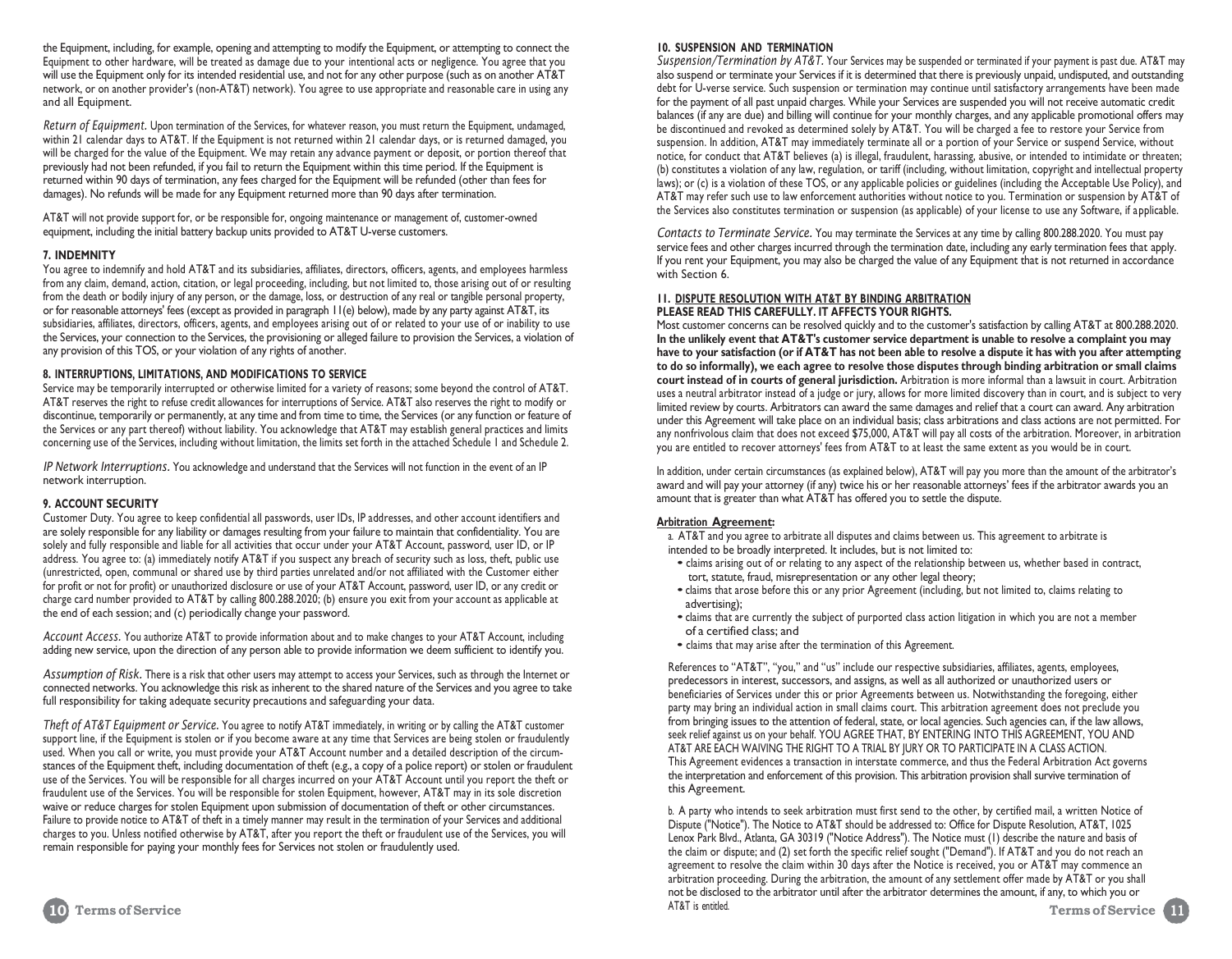the Equipment, including, for example, opening and attempting to modify the Equipment, or attempting to connect the Equipment to other hardware, will be treated as damage due to your intentional acts or negligence. You agree that you will use the Equipment only for its intended residential use, and not for any other purpose (such as on another AT&T network, or on another provider's (non-AT&T) network). You agree to use appropriate and reasonable care in using any and all Equipment.

*Return of Equipment.* Upon termination of the Services, for whatever reason, you must return the Equipment, undamaged, within 21 calendar days to AT&T. If the Equipment is not returned within 21 calendar days, or is returned damaged, you will be charged for the value of the Equipment. We may retain any advance payment or deposit, or portion thereof that previously had not been refunded, if you fail to return the Equipment within this time period. If the Equipment is returned within 90 days of termination, any fees charged for the Equipment will be refunded (other than fees for damages). No refunds will be made for any Equipment returned more than 90 days after termination.

AT&T will not provide support for, or be responsible for, ongoing maintenance or management of, customer-owned equipment, including the initial battery backup units provided to AT&T U-verse customers.

#### **7. INDEMNITY**

You agree to indemnify and hold AT&T and its subsidiaries, affiliates, directors, officers, agents, and employees harmless from any claim, demand, action, citation, or legal proceeding, including, but not limited to, those arising out of or resulting from the death or bodily injury of any person, or the damage, loss, or destruction of any real or tangible personal property, or for reasonable attorneys' fees (except as provided in paragraph 11(e) below), made by any party against AT&T, its subsidiaries, affiliates, directors, officers, agents, and employees arising out of or related to your use of or inability to use the Services, your connection to the Services, the provisioning or alleged failure to provision the Services, a violation of any provision of this TOS, or your violation of any rights of another.

#### **8. INTERRUPTIONS, LIMITATIONS, AND MODIFICATIONS TO SERVICE**

Service may be temporarily interrupted or otherwise limited for a variety of reasons; some beyond the control of AT&T. AT&T reserves the right to refuse credit allowances for interruptions of Service. AT&T also reserves the right to modify or discontinue, temporarily or permanently, at any time and from time to time, the Services (or any function or feature of the Services or any part thereof) without liability. You acknowledge that AT&T may establish general practices and limits concerning use of the Services, including without limitation, the limits set forth in the attached Schedule 1 and Schedule 2.

*IP Network Interruptions.* You acknowledge and understand that the Services will not function in the event of an IP network interruption.

#### **9. ACCOUNT SECURITY**

Customer Duty. You agree to keep confidential all passwords, user IDs, IP addresses, and other account identifiers and are solely responsible for any liability or damages resulting from your failure to maintain that confidentiality. You are solely and fully responsible and liable for all activities that occur under your AT&T Account, password, user ID, or IP address. You agree to: (a) immediately notify AT&T if you suspect any breach of security such as loss, theft, public use (unrestricted, open, communal or shared use by third parties unrelated and/or not affiliated with the Customer either for profit or not for profit) or unauthorized disclosure or use of your AT&T Account, password, user ID, or any credit or charge card number provided to AT&T by calling 800.288.2020; (b) ensure you exit from your account as applicable at the end of each session; and (c) periodically change your password.

*Account Access.* You authorize AT&T to provide information about and to make changes to your AT&T Account, including adding new service, upon the direction of any person able to provide information we deem sufficient to identify you.

*Assumption of Risk.* There is a risk that other users may attempt to access your Services, such as through the Internet or connected networks. You acknowledge this risk as inherent to the shared nature of the Services and you agree to take full responsibility for taking adequate security precautions and safeguarding your data.

*Theft of AT&T Equipment or Service.* You agree to notify AT&T immediately, in writing or by calling the AT&T customer support line, if the Equipment is stolen or if you become aware at any time that Services are being stolen or fraudulently used. When you call or write, you must provide your AT&T Account number and a detailed description of the circumstances of the Equipment theft, including documentation of theft (e.g., a copy of a police report) or stolen or fraudulent use of the Services. You will be responsible for all charges incurred on your AT&T Account until you report the theft or fraudulent use of the Services. You will be responsible for stolen Equipment, however, AT&T may in its sole discretion waive or reduce charges for stolen Equipment upon submission of documentation of theft or other circumstances. Failure to provide notice to AT&T of theft in a timely manner may result in the termination of your Services and additional charges to you. Unless notified otherwise by AT&T, after you report the theft or fraudulent use of the Services, you will remain responsible for paying your monthly fees for Services not stolen or fraudulently used.

### **10. SUSPENSION AND TERMINATION**

*Suspension/Termination by AT&T.* Your Services may be suspended or terminated if your payment is past due. AT&T may also suspend or terminate your Services if it is determined that there is previously unpaid, undisputed, and outstanding debt for U-verse service. Such suspension or termination may continue until satisfactory arrangements have been made for the payment of all past unpaid charges. While your Services are suspended you will not receive automatic credit balances (if any are due) and billing will continue for your monthly charges, and any applicable promotional offers may be discontinued and revoked as determined solely by AT&T. You will be charged a fee to restore your Service from suspension. In addition, AT&T may immediately terminate all or a portion of your Service or suspend Service, without notice, for conduct that AT&T believes (a) is illegal, fraudulent, harassing, abusive, or intended to intimidate or threaten; (b) constitutes a violation of any law, regulation, or tariff (including, without limitation, copyright and intellectual property laws); or (c) is a violation of these TOS, or any applicable policies or guidelines (including the Acceptable Use Policy), and AT&T may refer such use to law enforcement authorities without notice to you. Termination or suspension by AT&T of the Services also constitutes termination or suspension (as applicable) of your license to use any Software, if applicable.

*Contacts to Terminate Service.* You may terminate the Services at any time by calling 800.288.2020. You must pay service fees and other charges incurred through the termination date, including any early termination fees that apply. If you rent your Equipment, you may also be charged the value of any Equipment that is not returned in accordance with Section 6.

#### **11. DISPUTE RESOLUTION WITH AT&T BY BINDING ARBITRATION PLEASE READ THIS CAREFULLY. IT AFFECTS YOUR RIGHTS.**

Most customer concerns can be resolved quickly and to the customer's satisfaction by calling AT&T at 800.288.2020. **In the unlikely event that AT&T's customer service department is unable to resolve a complaint you may** have to your satisfaction (or if AT&T has not been able to resolve a dispute it has with you after attempting **to do so informally), we each agree to resolve those disputes through binding arbitration or small claims court instead of in courts of general jurisdiction.** Arbitration is more informal than a lawsuit in court. Arbitration uses a neutral arbitrator instead of a judge or jury, allows for more limited discovery than in court, and is subject to very limited review by courts. Arbitrators can award the same damages and relief that a court can award. Any arbitration under this Agreement will take place on an individual basis; class arbitrations and class actions are not permitted. For any nonfrivolous claim that does not exceed \$75,000, AT&T will pay all costs of the arbitration. Moreover, in arbitration you are entitled to recover attorneys' fees from AT&T to at least the same extent as you would be in court.

In addition, under certain circumstances (as explained below), AT&T will pay you more than the amount of the arbitrator's award and will pay your attorney (if any) twice his or her reasonable attorneys' fees if the arbitrator awards you an amount that is greater than what AT&T has offered you to settle the dispute.

#### **Arbitration Agreement:**

a. AT&T and you agree to arbitrate all disputes and claims between us. This agreement to arbitrate is intended to be broadly interpreted. It includes, but is not limited to:

- claims arising out of or relating to any aspect of the relationship between us, whether based in contract, tort, statute, fraud, misrepresentation or any other legal theory;
- claims that arose before this or any prior Agreement (including, but not limited to, claims relating to advertising);
- claims that are currently the subject of purported class action litigation in which you are not a member of a certified class; and
- claims that may arise after the termination of this Agreement.

References to "AT&T", "you," and "us" include our respective subsidiaries, affiliates, agents, employees, predecessors in interest, successors, and assigns, as well as all authorized or unauthorized users or beneficiaries of Services under this or prior Agreements between us. Notwithstanding the foregoing, either party may bring an individual action in small claims court. This arbitration agreement does not preclude you from bringing issues to the attention of federal, state, or local agencies. Such agencies can, if the law allows, seek relief against us on your behalf. YOU AGREE THAT, BY ENTERING INTO THIS AGREEMENT, YOU AND AT&T ARE EACH WAIVING THE RIGHT TO A TRIAL BY JURY OR TO PARTICIPATE IN A CLASS ACTION. This Agreement evidences a transaction in interstate commerce, and thus the Federal Arbitration Act governs the interpretation and enforcement of this provision. This arbitration provision shall survive termination of this Agreement.

b. A party who intends to seek arbitration must first send to the other, by certified mail, a written Notice of Dispute ("Notice"). The Notice to AT&T should be addressed to: Office for Dispute Resolution, AT&T, 1025 Lenox Park Blvd., Atlanta, GA 30319 ("Notice Address"). The Notice must (1) describe the nature and basis of the claim or dispute; and (2) set forth the specific relief sought ("Demand"). If AT&T and you do not reach an agreement to resolve the claim within 30 days after the Notice is received, you or AT&T may commence an arbitration proceeding. During the arbitration, the amount of any settlement offer made by AT&T or you shall not be disclosed to the arbitrator until after the arbitrator determines the amount, if any, to which you or **Terms of Service** AT&T is entitled. **10 Terms of Service 11**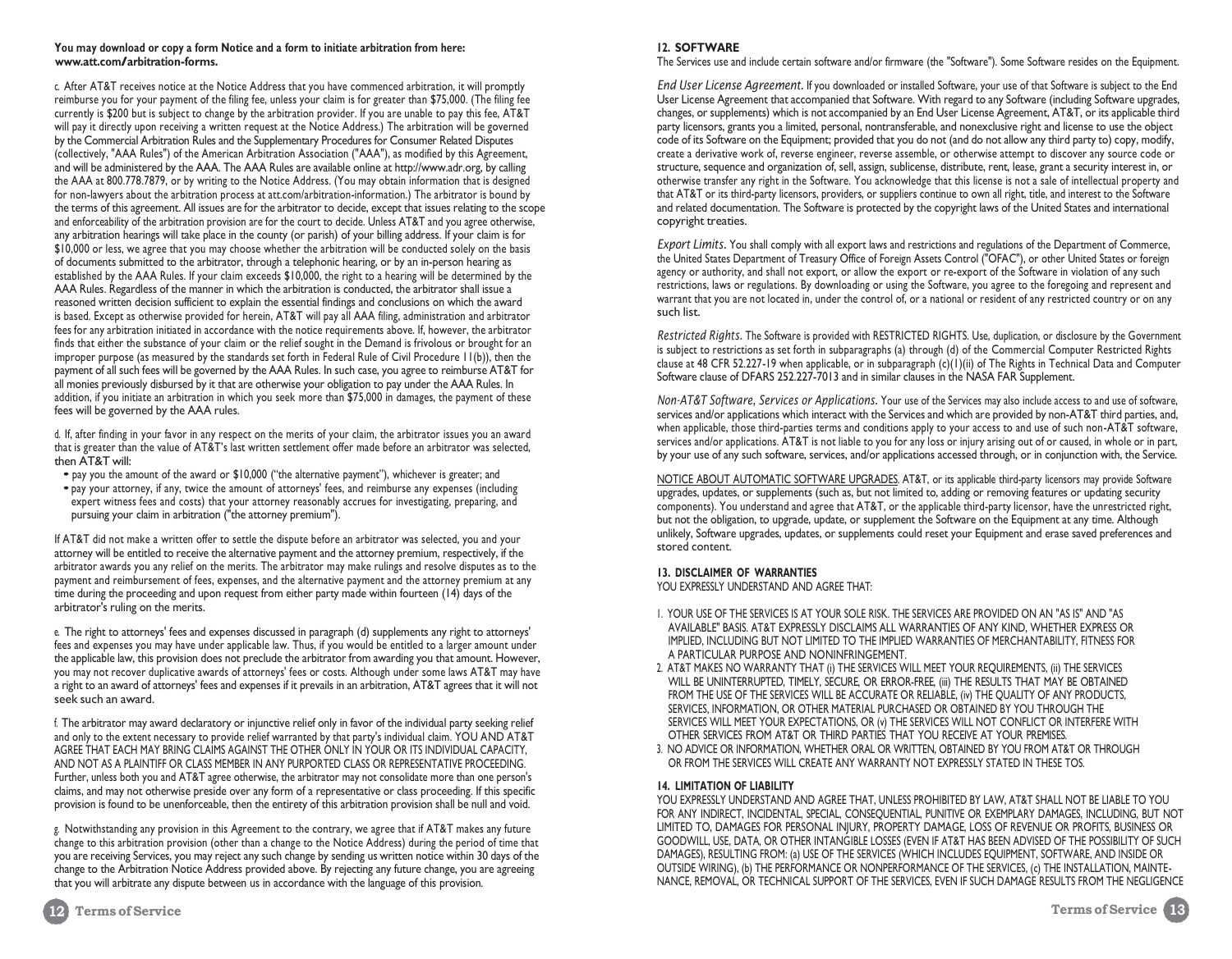#### **You may download or copy a form Notice and a form to initiate arbitration from here: [www.att.com/arbitration-forms.](http://www.att.com/arbitration-forms)**

c. After AT&T receives notice at the Notice Address that you have commenced arbitration, it will promptly reimburse you for your payment of the filing fee, unless your claim is for greater than \$75,000. (The filing fee currently is \$200 but is subject to change by the arbitration provider. If you are unable to pay this fee, AT&T will pay it directly upon receiving a written request at the Notice Address.) The arbitration will be governed by the Commercial Arbitration Rules and the Supplementary Procedures for Consumer Related Disputes (collectively, "AAA Rules") of the American Arbitration Association ("AAA"), as modified by this Agreement, and will be administered by the AAA. The AAA Rules are available online at [http://www.adr.org,](http://www.adr.org/) by calling the AAA at 800.778.7879, or by writing to the Notice Address. (You may obtain information that is designed for non-lawyers about the arbitration process at att.com/arbitration-information.) The arbitrator is bound by the terms of this agreement. All issues are for the arbitrator to decide, except that issues relating to the scope and enforceability of the arbitration provision are for the court to decide. Unless AT&T and you agree otherwise, any arbitration hearings will take place in the county (or parish) of your billing address. If your claim is for \$10,000 or less, we agree that you may choose whether the arbitration will be conducted solely on the basis of documents submitted to the arbitrator, through a telephonic hearing, or by an in-person hearing as established by the AAA Rules. If your claim exceeds \$10,000, the right to a hearing will be determined by the AAA Rules. Regardless of the manner in which the arbitration is conducted, the arbitrator shall issue a reasoned written decision sufficient to explain the essential findings and conclusions on which the award is based. Except as otherwise provided for herein, AT&T will pay all AAA filing, administration and arbitrator fees for any arbitration initiated in accordance with the notice requirements above. If, however, the arbitrator finds that either the substance of your claim or the relief sought in the Demand is frivolous or brought for an improper purpose (as measured by the standards set forth in Federal Rule of Civil Procedure 11(b)), then the payment of all such fees will be governed by the AAA Rules. In such case, you agree to reimburse AT&T for all monies previously disbursed by it that are otherwise your obligation to pay under the AAA Rules. In addition, if you initiate an arbitration in which you seek more than \$75,000 in damages, the payment of these fees will be governed by the AAA rules.

d. If, after finding in your favor in any respect on the merits of your claim, the arbitrator issues you an award that is greater than the value of AT&T's last written settlement offer made before an arbitrator was selected, then AT&T will:

- pay you the amount of the award or \$10,000 ("the alternative payment"), whichever is greater; and
- pay your attorney, if any, twice the amount of attorneys' fees, and reimburse any expenses (including expert witness fees and costs) that your attorney reasonably accrues for investigating, preparing, and pursuing your claim in arbitration ("the attorney premium").

If AT&T did not make a written offer to settle the dispute before an arbitrator was selected, you and your attorney will be entitled to receive the alternative payment and the attorney premium, respectively, if the arbitrator awards you any relief on the merits. The arbitrator may make rulings and resolve disputes as to the payment and reimbursement of fees, expenses, and the alternative payment and the attorney premium at any time during the proceeding and upon request from either party made within fourteen (14) days of the arbitrator's ruling on the merits.

e. The right to attorneys' fees and expenses discussed in paragraph (d) supplements any right to attorneys' fees and expenses you may have under applicable law. Thus, if you would be entitled to a larger amount under the applicable law, this provision does not preclude the arbitrator from awarding you that amount. However, you may not recover duplicative awards of attorneys' fees or costs. Although under some laws AT&T may have a right to an award of attorneys' fees and expenses if it prevails in an arbitration, AT&T agrees that it will not seek such an award.

f. The arbitrator may award declaratory or injunctive relief only in favor of the individual party seeking relief and only to the extent necessary to provide relief warranted by that party's individual claim. YOU AND AT&T AGREE THAT EACH MAY BRING CLAIMS AGAINST THE OTHER ONLY IN YOUR OR ITS INDIVIDUAL CAPACITY, AND NOT AS A PLAINTIFF OR CLASS MEMBER IN ANY PURPORTED CLASS OR REPRESENTATIVE PROCEEDING. Further, unless both you and AT&T agree otherwise, the arbitrator may not consolidate more than one person's claims, and may not otherwise preside over any form of a representative or class proceeding. If this specific provision is found to be unenforceable, then the entirety of this arbitration provision shall be null and void.

g. Notwithstanding any provision in this Agreement to the contrary, we agree that if AT&T makes any future change to this arbitration provision (other than a change to the Notice Address) during the period of time that you are receiving Services, you may reject any such change by sending us written notice within 30 days of the change to the Arbitration Notice Address provided above. By rejecting any future change, you are agreeing that you will arbitrate any dispute between us in accordance with the language of this provision.

#### **12. SOFTWARE**

The Services use and include certain software and/or firmware (the "Software"). Some Software resides on the Equipment.

*End User License Agreement.* If you downloaded or installed Software, your use of that Software is subject to the End User License Agreement that accompanied that Software. With regard to any Software (including Software upgrades, changes, or supplements) which is not accompanied by an End User License Agreement, AT&T, or its applicable third party licensors, grants you a limited, personal, nontransferable, and nonexclusive right and license to use the object code of its Software on the Equipment; provided that you do not (and do not allow any third party to) copy, modify, create a derivative work of, reverse engineer, reverse assemble, or otherwise attempt to discover any source code or structure, sequence and organization of, sell, assign, sublicense, distribute, rent, lease, grant a security interest in, or otherwise transfer any right in the Software. You acknowledge that this license is not a sale of intellectual property and that AT&T or its third-party licensors, providers, or suppliers continue to own all right, title, and interest to the Software and related documentation. The Software is protected by the copyright laws of the United States and international copyright treaties.

*Export Limits.* You shall comply with all export laws and restrictions and regulations of the Department of Commerce, the United States Department of Treasury Office of Foreign Assets Control ("OFAC"), or other United States or foreign agency or authority, and shall not export, or allow the export or re-export of the Software in violation of any such restrictions, laws or regulations. By downloading or using the Software, you agree to the foregoing and represent and warrant that you are not located in, under the control of, or a national or resident of any restricted country or on any such list.

*Restricted Rights.* The Software is provided with RESTRICTED RIGHTS. Use, duplication, or disclosure by the Government is subject to restrictions as set forth in subparagraphs (a) through (d) of the Commercial Computer Restricted Rights clause at 48 CFR 52.227-19 when applicable, or in subparagraph (c)(1)(ii) of The Rights in Technical Data and Computer Software clause of DFARS 252.227-7013 and in similar clauses in the NASA FAR Supplement.

*Non-AT&T Software, Services or Applications.* Your use of the Services may also include access to and use of software, services and/or applications which interact with the Services and which are provided by non-AT&T third parties, and, when applicable, those third-parties terms and conditions apply to your access to and use of such non-AT&T software, services and/or applications. AT&T is not liable to you for any loss or injury arising out of or caused, in whole or in part, by your use of any such software, services, and/or applications accessed through, or in conjunction with, the Service.

NOTICE ABOUT AUTOMATIC SOFTWARE UPGRADES. AT&T, or its applicable third-party licensors may provide Software upgrades, updates, or supplements (such as, but not limited to, adding or removing features or updating security components). You understand and agree that AT&T, or the applicable third-party licensor, have the unrestricted right, but not the obligation, to upgrade, update, or supplement the Software on the Equipment at any time. Although unlikely, Software upgrades, updates, or supplements could reset your Equipment and erase saved preferences and stored content.

#### **13. DISCLAIMER OF WARRANTIES**

YOU EXPRESSLY UNDERSTAND AND AGREE THAT:

- 1. YOUR USE OF THE SERVICES IS AT YOUR SOLE RISK. THE SERVICES ARE PROVIDED ON AN "AS IS" AND "AS AVAILABLE" BASIS. AT&T EXPRESSLY DISCLAIMS ALL WARRANTIES OF ANY KIND, WHETHER EXPRESS OR IMPLIED, INCLUDING BUT NOT LIMITED TO THE IMPLIED WARRANTIES OF MERCHANTABILITY, FITNESS FOR A PARTICULAR PURPOSE AND NONINFRINGEMENT.
- 2. AT&T MAKES NO WARRANTY THAT (i) THE SERVICES WILL MEET YOUR REQUIREMENTS, (ii) THE SERVICES WILL BE UNINTERRUPTED, TIMELY, SECURE, OR ERROR-FREE, (iii) THE RESULTS THAT MAY BE OBTAINED FROM THE USE OF THE SERVICES WILL BE ACCURATE OR RELIABLE, (iv) THE QUALITY OF ANY PRODUCTS, SERVICES, INFORMATION, OR OTHER MATERIAL PURCHASED OR OBTAINED BY YOU THROUGH THE SERVICES WILL MEET YOUR EXPECTATIONS, OR (v) THE SERVICES WILL NOT CONFLICT OR INTERFERE WITH OTHER SERVICES FROM AT&T OR THIRD PARTIES THAT YOU RECEIVE AT YOUR PREMISES.
- 3. NO ADVICE OR INFORMATION, WHETHER ORAL OR WRITTEN, OBTAINED BY YOU FROM AT&T OR THROUGH OR FROM THE SERVICES WILL CREATE ANY WARRANTY NOT EXPRESSLY STATED IN THESE TOS.

#### **14. LIMITATION OF LIABILITY**

YOU EXPRESSLY UNDERSTAND AND AGREE THAT, UNLESS PROHIBITED BY LAW, AT&T SHALL NOT BE LIABLE TO YOU FOR ANY INDIRECT, INCIDENTAL, SPECIAL, CONSEQUENTIAL, PUNITIVE OR EXEMPLARY DAMAGES, INCLUDING, BUT NOT LIMITED TO, DAMAGES FOR PERSONAL INJURY, PROPERTY DAMAGE, LOSS OF REVENUE OR PROFITS, BUSINESS OR GOODWILL, USE, DATA, OR OTHER INTANGIBLE LOSSES (EVEN IF AT&T HAS BEEN ADVISED OF THE POSSIBILITY OF SUCH DAMAGES), RESULTING FROM: (a) USE OF THE SERVICES (WHICH INCLUDES EQUIPMENT, SOFTWARE, AND INSIDE OR OUTSIDE WIRING), (b) THE PERFORMANCE OR NONPERFORMANCE OF THE SERVICES, (c) THE INSTALLATION, MAINTE-NANCE, REMOVAL, OR TECHNICAL SUPPORT OF THE SERVICES, EVEN IF SUCH DAMAGE RESULTS FROM THE NEGLIGENCE

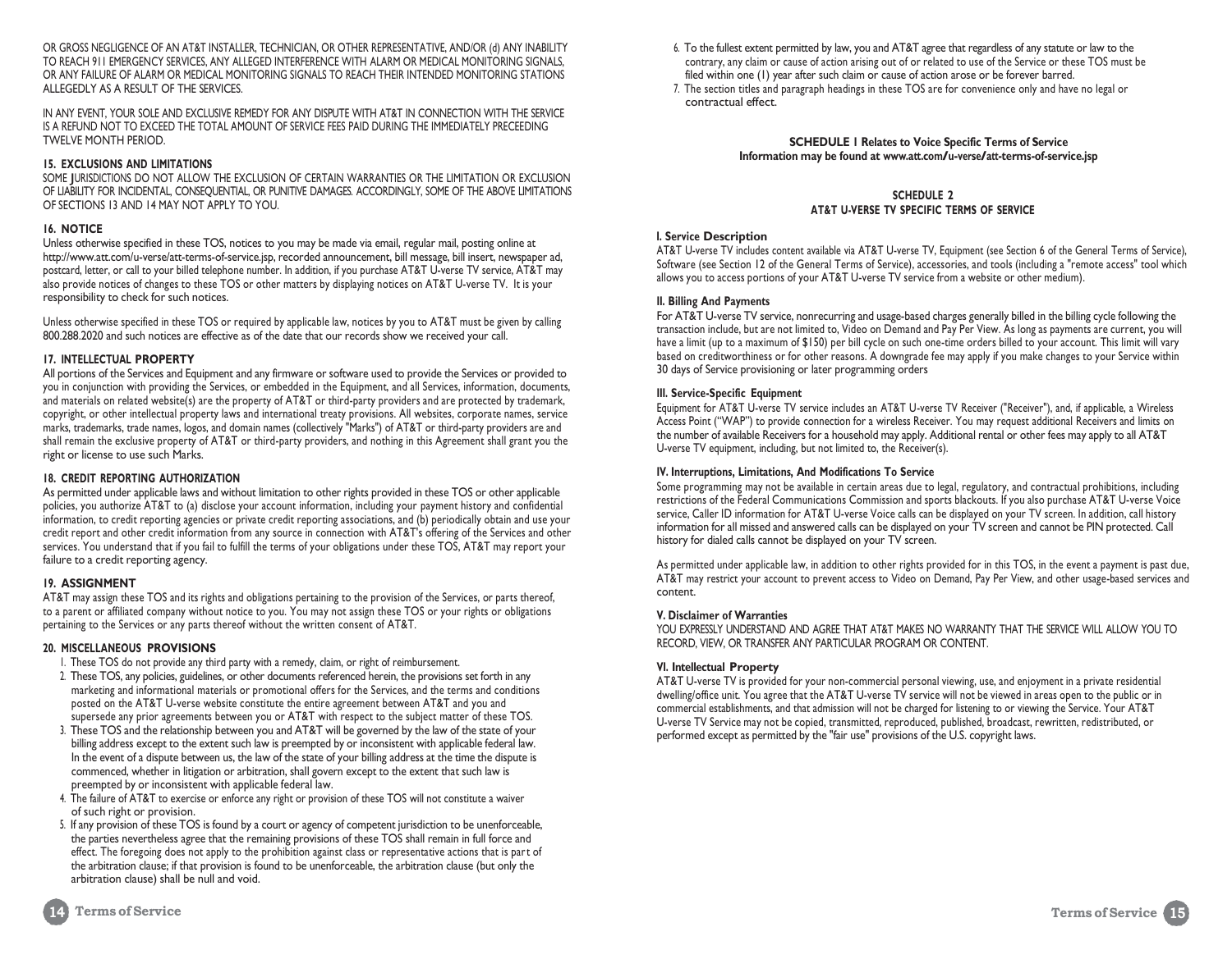OR GROSS NEGLIGENCE OF AN AT&T INSTALLER, TECHNICIAN, OR OTHER REPRESENTATIVE, AND/OR (d) ANY INABILITY TO REACH 911 EMERGENCY SERVICES, ANY ALLEGED INTERFERENCE WITH ALARM OR MEDICAL MONITORING SIGNALS, OR ANY FAILURE OF ALARM OR MEDICAL MONITORING SIGNALS TO REACH THEIR INTENDED MONITORING STATIONS ALLEGEDLY AS A RESULT OF THE SERVICES.

IN ANY EVENT, YOUR SOLE AND EXCLUSIVE REMEDY FOR ANY DISPUTE WITH AT&T IN CONNECTION WITH THE SERVICE IS A REFUND NOT TO EXCEED THE TOTAL AMOUNT OF SERVICE FEES PAID DURING THE IMMEDIATELY PRECEEDING TWELVE MONTH PERIOD.

#### **15. EXCLUSIONS AND LIMITATIONS**

SOME JURISDICTIONS DO NOT ALLOW THE EXCLUSION OF CERTAIN WARRANTIES OR THE LIMITATION OR EXCLUSION OF LIABILITY FOR INCIDENTAL, CONSEQUENTIAL, OR PUNITIVE DAMAGES. ACCORDINGLY, SOME OF THE ABOVE LIMITATIONS OF SECTIONS 13 AND 14 MAY NOT APPLY TO YOU.

#### **16. NOTICE**

Unless otherwise specified in these TOS, notices to you may be made via email, regular mail, posting online at [http://www.att.com/u-verse/att-terms-of-service.jsp,](http://www.att.com/u-verse/att-terms-of-service.jsp) recorded announcement, bill message, bill insert, newspaper ad, postcard, letter, or call to your billed telephone number. In addition, if you purchase AT&T U-verse TV service, AT&T may also provide notices of changes to these TOS or other matters by displaying notices on AT&T U-verse TV. It is your responsibility to check for such notices.

Unless otherwise specified in these TOS or required by applicable law, notices by you to AT&T must be given by calling 800.288.2020 and such notices are effective as of the date that our records show we received your call.

#### **17. INTELLECTUAL PROPERTY**

All portions of the Services and Equipment and any firmware or software used to provide the Services or provided to you in conjunction with providing the Services, or embedded in the Equipment, and all Services, information, documents, and materials on related website(s) are the property of AT&T or third-party providers and are protected by trademark, copyright, or other intellectual property laws and international treaty provisions. All websites, corporate names, service marks, trademarks, trade names, logos, and domain names (collectively "Marks") of AT&T or third-party providers are and shall remain the exclusive property of AT&T or third-party providers, and nothing in this Agreement shall grant you the right or license to use such Marks.

#### **18. CREDIT REPORTING AUTHORIZATION**

As permitted under applicable laws and without limitation to other rights provided in these TOS or other applicable policies, you authorize AT&T to (a) disclose your account information, including your payment history and confidential information, to credit reporting agencies or private credit reporting associations, and (b) periodically obtain and use your credit report and other credit information from any source in connection with AT&T's offering of the Services and other services. You understand that if you fail to fulfill the terms of your obligations under these TOS, AT&T may report your failure to a credit reporting agency.

#### **19. ASSIGNMENT**

AT&T may assign these TOS and its rights and obligations pertaining to the provision of the Services, or parts thereof, to a parent or affiliated company without notice to you. You may not assign these TOS or your rights or obligations pertaining to the Services or any parts thereof without the written consent of AT&T.

#### **20. MISCELLANEOUS PROVISIONS**

- 1. These TOS do not provide any third party with a remedy, claim, or right of reimbursement.
- 2. These TOS, any policies, guidelines, or other documents referenced herein, the provisions set forth in any marketing and informational materials or promotional offers for the Services, and the terms and conditions posted on the AT&T U-verse website constitute the entire agreement between AT&T and you and supersede any prior agreements between you or AT&T with respect to the subject matter of these TOS.
- 3. These TOS and the relationship between you and AT&T will be governed by the law of the state of your billing address except to the extent such law is preempted by or inconsistent with applicable federal law. In the event of a dispute between us, the law of the state of your billing address at the time the dispute is commenced, whether in litigation or arbitration, shall govern except to the extent that such law is preempted by or inconsistent with applicable federal law.
- 4. The failure of AT&T to exercise or enforce any right or provision of these TOS will not constitute a waiver of such right or provision.
- 5. If any provision of these TOS is found by a court or agency of competent jurisdiction to be unenforceable, the parties nevertheless agree that the remaining provisions of these TOS shall remain in full force and effect. The foregoing does not apply to the prohibition against class or representative actions that is part of the arbitration clause; if that provision is found to be unenforceable, the arbitration clause (but only the arbitration clause) shall be null and void.
- 6. To the fullest extent permitted by law, you and AT&T agree that regardless of any statute or law to the contrary, any claim or cause of action arising out of or related to use of the Service or these TOS must be filed within one (1) year after such claim or cause of action arose or be forever barred.
- 7. The section titles and paragraph headings in these TOS are for convenience only and have no legal or contractual effect.

#### **SCHEDULE 1 Relates to Voice Specific Terms of Service Information may be found a[t www.att.com/u-verse/att-terms-of-service.jsp](http://www.att.com/u-verse/att-terms-of-service.jsp)**

#### **SCHEDULE 2 AT&T U-VERSE TV SPECIFIC TERMS OF SERVICE**

#### **I. Service Description**

AT&T U-verse TV includes content available via AT&T U-verse TV, Equipment (see Section 6 of the General Terms of Service), Software (see Section 12 of the General Terms of Service), accessories, and tools (including a "remote access" tool which allows you to access portions of your AT&T U-verse TV service from a website or other medium).

#### **II. Billing And Payments**

For AT&T U-verse TV service, nonrecurring and usage-based charges generally billed in the billing cycle following the transaction include, but are not limited to, Video on Demand and Pay Per View. As long as payments are current, you will have a limit (up to a maximum of \$150) per bill cycle on such one-time orders billed to your account. This limit will vary based on creditworthiness or for other reasons. A downgrade fee may apply if you make changes to your Service within 30 days of Service provisioning or later programming orders

#### **III. Service-Specific Equipment**

Equipment for AT&T U-verse TV service includes an AT&T U-verse TV Receiver ("Receiver"), and, if applicable, a Wireless Access Point ("WAP") to provide connection for a wireless Receiver. You may request additional Receivers and limits on the number of available Receivers for a household may apply. Additional rental or other fees may apply to all AT&T U-verse TV equipment, including, but not limited to, the Receiver(s).

#### **IV. Interruptions, Limitations, And Modifications To Service**

Some programming may not be available in certain areas due to legal, regulatory, and contractual prohibitions, including restrictions of the Federal Communications Commission and sports blackouts. If you also purchase AT&T U-verse Voice service, Caller ID information for AT&T U-verse Voice calls can be displayed on your TV screen. In addition, call history information for all missed and answered calls can be displayed on your TV screen and cannot be PIN protected. Call history for dialed calls cannot be displayed on your TV screen.

As permitted under applicable law, in addition to other rights provided for in this TOS, in the event a payment is past due, AT&T may restrict your account to prevent access to Video on Demand, Pay Per View, and other usage-based services and content.

#### **V. Disclaimer of Warranties**

YOU EXPRESSLY UNDERSTAND AND AGREE THAT AT&T MAKES NO WARRANTY THAT THE SERVICE WILL ALLOW YOU TO RECORD, VIEW, OR TRANSFER ANY PARTICULAR PROGRAM OR CONTENT.

#### **VI. Intellectual Property**

AT&T U-verse TV is provided for your non-commercial personal viewing, use, and enjoyment in a private residential dwelling/office unit. You agree that the AT&T U-verse TV service will not be viewed in areas open to the public or in commercial establishments, and that admission will not be charged for listening to or viewing the Service. Your AT&T U-verse TV Service may not be copied, transmitted, reproduced, published, broadcast, rewritten, redistributed, or performed except as permitted by the "fair use" provisions of the U.S. copyright laws.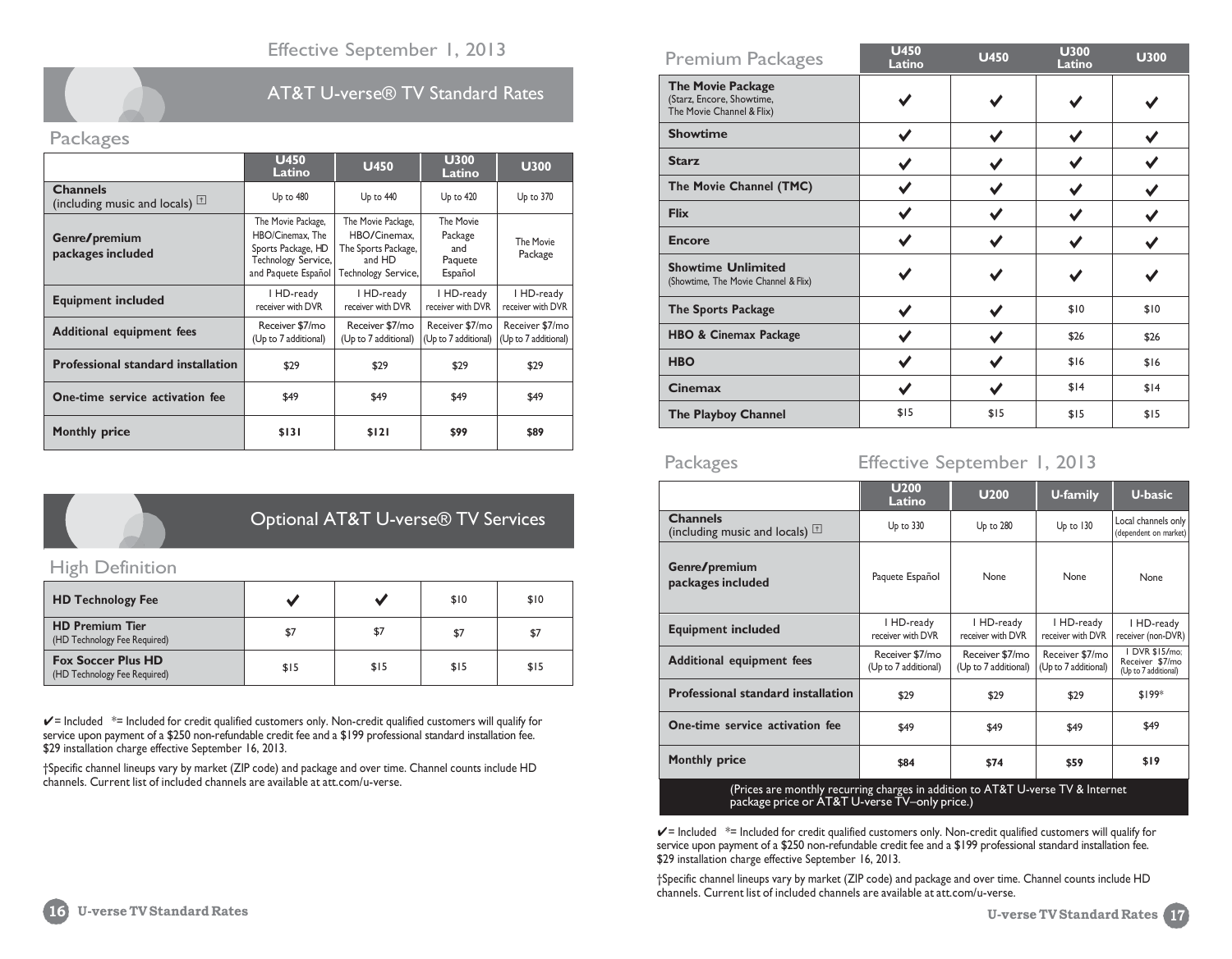

# AT&T U-verse® TV Standard Rates

# Packages

|                                                                     | <b>U450</b><br>Latino                                                                                      | <b>U450</b>                                                                                | <b>U300</b><br>Latino                             | <b>U300</b>                             |
|---------------------------------------------------------------------|------------------------------------------------------------------------------------------------------------|--------------------------------------------------------------------------------------------|---------------------------------------------------|-----------------------------------------|
| <b>Channels</b><br>(including music and locals) $\vert \perp \vert$ | Up to 480                                                                                                  | Up to 440                                                                                  | $Up$ to $420$                                     | $Up$ to $370$                           |
| Genre/premium<br>packages included                                  | The Movie Package,<br>HBO/Cinemax, The<br>Sports Package, HD<br>Technology Service,<br>and Paquete Español | The Movie Package,<br>HBO/Cinemax.<br>The Sports Package,<br>and HD<br>Technology Service, | The Movie<br>Package<br>and<br>Paquete<br>Español | The Movie<br>Package                    |
| <b>Equipment included</b>                                           | I HD-ready<br>receiver with DVR                                                                            | I HD-ready<br>receiver with DVR                                                            | I HD-ready<br>receiver with DVR                   | I HD-ready<br>receiver with DVR         |
| <b>Additional equipment fees</b>                                    | Receiver \$7/mo<br>(Up to 7 additional)                                                                    | Receiver \$7/mo<br>(Up to 7 additional)                                                    | Receiver \$7/mo<br>(Up to 7 additional)           | Receiver \$7/mo<br>(Up to 7 additional) |
| <b>Professional standard installation</b>                           | \$29                                                                                                       | \$29                                                                                       | \$29                                              | \$29                                    |
| One-time service activation fee                                     | \$49                                                                                                       | \$49                                                                                       | \$49                                              | \$49                                    |
| <b>Monthly price</b>                                                | \$131                                                                                                      | \$121                                                                                      | \$99                                              | \$89                                    |



# Optional AT&T U-verse® TV Services

# High Definition

| <b>HD Technology Fee</b>                                  |      |      | \$10 | \$10 |
|-----------------------------------------------------------|------|------|------|------|
| <b>HD Premium Tier</b><br>(HD Technology Fee Required)    | \$7  | \$7  | \$7  | \$7  |
| <b>Fox Soccer Plus HD</b><br>(HD Technology Fee Required) | \$15 | \$15 | \$15 | \$15 |

 $\checkmark$  = Included  $*$ = Included for credit qualified customers only. Non-credit qualified customers will qualify for service upon payment of a \$250 non-refundable credit fee and a \$199 professional standard installation fee. \$29 installation charge effective September 16, 2013.

†Specific channel lineups vary by market (ZIP code) and package and over time. Channel counts include HD channels. Current list of included channels are available at att.com/u-verse.

| <b>Premium Packages</b>                                                            | <b>U450</b><br>Latino | <b>U450</b> | <b>U300</b><br>Latino | <b>U300</b> |
|------------------------------------------------------------------------------------|-----------------------|-------------|-----------------------|-------------|
| <b>The Movie Package</b><br>(Starz, Encore, Showtime,<br>The Movie Channel & Flix) |                       |             |                       |             |
| <b>Showtime</b>                                                                    |                       |             |                       |             |
| <b>Starz</b>                                                                       |                       |             |                       |             |
| The Movie Channel (TMC)                                                            |                       |             |                       |             |
| <b>Flix</b>                                                                        |                       |             |                       |             |
| <b>Encore</b>                                                                      |                       |             |                       |             |
| <b>Showtime Unlimited</b><br>(Showtime, The Movie Channel & Flix)                  |                       |             |                       |             |
| <b>The Sports Package</b>                                                          |                       |             | \$10                  | \$10        |
| <b>HBO &amp; Cinemax Package</b>                                                   |                       |             | \$26                  | \$26        |
| <b>HBO</b>                                                                         |                       |             | \$16                  | \$16        |
| <b>Cinemax</b>                                                                     |                       |             | \$14                  | \$14        |
| The Playboy Channel                                                                | \$15                  | \$15        | \$15                  | \$15        |

# Packages Effective September 1, 2013

|                                                                                  | <b>U200</b><br>Latino                   | <b>U200</b>                             | U-family                                | <b>U-basic</b>                                            |  |
|----------------------------------------------------------------------------------|-----------------------------------------|-----------------------------------------|-----------------------------------------|-----------------------------------------------------------|--|
| <b>Channels</b><br>(including music and locals) $\Box$                           | Up to 330                               | Up to 280                               | Up to 130                               | Local channels only<br>(dependent on market)              |  |
| Genre/premium<br>packages included                                               | Paquete Español                         | None                                    | None                                    | None                                                      |  |
| <b>Equipment included</b>                                                        | I HD-ready<br>receiver with DVR         | I HD-ready<br>receiver with DVR         | I HD-ready<br>receiver with DVR         | I HD-ready<br>receiver (non-DVR)                          |  |
| <b>Additional equipment fees</b>                                                 | Receiver \$7/mo<br>(Up to 7 additional) | Receiver \$7/mo<br>(Up to 7 additional) | Receiver \$7/mo<br>(Up to 7 additional) | I DVR \$15/mo;<br>Receiver \$7/mo<br>(Up to 7 additional) |  |
| <b>Professional standard installation</b>                                        | \$29                                    | \$29                                    | \$29                                    | $$199*$                                                   |  |
| One-time service activation fee                                                  | \$49                                    | \$49                                    | \$49                                    | \$49                                                      |  |
| <b>Monthly price</b>                                                             | \$84                                    | \$74                                    | \$59                                    | \$19                                                      |  |
| (Drices are monthly requiring charges in addition to ATRT L verse TV 8. Internet |                                         |                                         |                                         |                                                           |  |

(Prices are monthly recurring charges in addition to AT&T U-verse TV & Internet package price or AT&T U-verse TV–only price.)

 $\checkmark$  = Included  $*$ = Included for credit qualified customers only. Non-credit qualified customers will qualify for service upon payment of a \$250 non-refundable credit fee and a \$199 professional standard installation fee. \$29 installation charge effective September 16, 2013.

†Specific channel lineups vary by market (ZIP code) and package and over time. Channel counts include HD channels. Current list of included channels are available at att.com/u-verse.